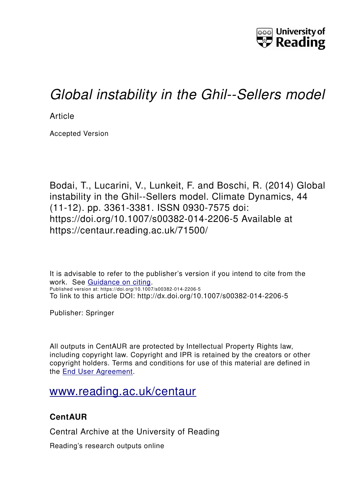

# *Global instability in the Ghil--Sellers model*

**Article** 

Accepted Version

Bodai, T., Lucarini, V., Lunkeit, F. and Boschi, R. (2014) Global instability in the Ghil--Sellers model. Climate Dynamics, 44 (11-12). pp. 3361-3381. ISSN 0930-7575 doi: https://doi.org/10.1007/s00382-014-2206-5 Available at https://centaur.reading.ac.uk/71500/

It is advisable to refer to the publisher's version if you intend to cite from the work. See [Guidance on citing.](http://centaur.reading.ac.uk/71187/10/CentAUR%20citing%20guide.pdf) Published version at: https://doi.org/10.1007/s00382-014-2206-5 To link to this article DOI: http://dx.doi.org/10.1007/s00382-014-2206-5

Publisher: Springer

All outputs in CentAUR are protected by Intellectual Property Rights law, including copyright law. Copyright and IPR is retained by the creators or other copyright holders. Terms and conditions for use of this material are defined in the [End User Agreement.](http://centaur.reading.ac.uk/licence)

## [www.reading.ac.uk/centaur](http://www.reading.ac.uk/centaur)

## **CentAUR**

Central Archive at the University of Reading

Reading's research outputs online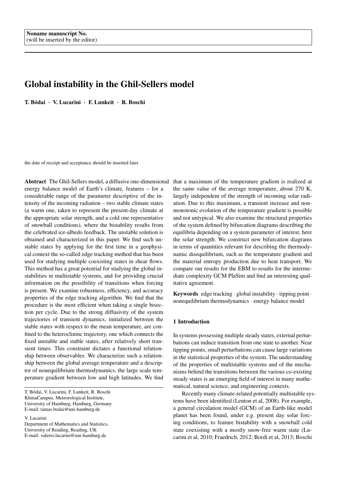### Global instability in the Ghil-Sellers model

T. Bódai · V. Lucarini · F. Lunkeit · R. Boschi

the date of receipt and acceptance should be inserted later

Abstract The Ghil-Sellers model, a diffusive one-dimensional that a maximum of the temperature gradient is realized at energy balance model of Earth's climate, features – for a considerable range of the parameter descriptive of the intensity of the incoming radiation – two stable climate states (a warm one, taken to represent the present-day climate at the appropriate solar strength, and a cold one representative of snowball conditions), where the bistability results from the celebrated ice-albedo feedback. The unstable solution is obtained and characterized in this paper. We find such unstable states by applying for the first time in a geophysical context the so-called edge tracking method that has been used for studying multiple coexisting states in shear flows. This method has a great potential for studying the global instabilities in multistable systems, and for providing crucial information on the possibility of transitions when forcing is present. We examine robustness, efficiency, and accuracy properties of the edge tracking algorithm. We find that the procedure is the most efficient when taking a single bisection per cycle. Due to the strong diffusivity of the system trajectories of transient dynamics, initialized between the stable states with respect to the mean temperature, are confined to the heteroclininc trajectory, one which connects the fixed unstable and stable states, after relatively short transient times. This constraint dictates a functional relationship between observables. We characterize such a relationship between the global average temperature and a descriptor of nonequilibrium thermodynamics, the large scale temperature gradient between low and high latitudes. We find

V. Lucarini Department of Mathematics and Statistics, University of Reading, Reading, UK E-mail: valerio.lucarini@uni-hamburg.de

the same value of the average temperature, about 270 K, largely independent of the strength of incoming solar radiation. Due to this maximum, a transient increase and nonmonotonic evolution of the temperature gradient is possible and not untypical. We also examine the structural properties of the system defined by bifurcation diagrams describing the equilibria depending on a system parameter of interest, here the solar strength. We construct new bifurcation diagrams in terms of quantities relevant for describing the thermodynamic disequilibrium, such as the temperature gradient and the material entropy production due to heat transport. We compare our results for the EBM to results for the intermediate complexity GCM PlaSim and find an interesting qualitative agreement.

Keywords edge tracking  $\cdot$  global instability  $\cdot$  tipping point  $\cdot$ nonequilibrium thermodynamics · energy balance model

#### 1 Introduction

In systems possessing multiple steady states, external perturbations can induce transition from one state to another. Near tipping points, small perturbations can cause large variations in the statistical properties of the system. The understanding of the properties of multistable systems and of the mechanisms behind the transitions between the various co-existing steady states is an emerging field of interest in many mathematical, natural science, and engineering contexts.

Recently many climate-related potentially multistable systems have been identified (Lenton et al, 2008). For example, a general circulation model (GCM) of an Earth-like model planet has been found, under e.g. present day solar forcing conditions, to feature bistability with a snowball cold state coexisting with a mostly snow-free warm state (Lucarini et al, 2010; Fraedrich, 2012; Bordi et al, 2013; Boschi

T. Bodai, V. Lucarini, F. Lunkeit, R. Boschi ´ KlimaCampus, Meteorological Institute, University of Hamburg, Hamburg, Germany E-mail: tamas.bodai@uni-hamburg.de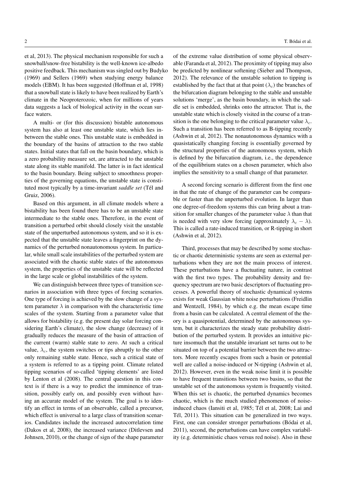et al, 2013). The physical mechanism responsible for such a snowball/snow-free bistability is the well-known ice-albedo positive feedback. This mechanism was singled out by Budyko (1969) and Sellers (1969) when studying energy balance models (EBM). It has been suggested (Hoffman et al, 1998) that a snowball state is likely to have been realized by Earth's climate in the Neoproterozoic, when for millions of years data suggests a lack of biological activity in the ocean surface waters.

A multi- or (for this discussion) bistable autonomous system has also at least one unstable state, which lies inbetween the stable ones. This unstable state is embedded in the boundary of the basins of attraction to the two stable states. Initial states that fall on the basin boundary, which is a zero probability measure set, are attracted to the unstable state along its stable manifold. The latter is in fact identical to the basin boundary. Being subject to smoothness properties of the governing equations, the unstable state is constituted most typically by a time-invariant saddle set (Tél and Gruiz, 2006).

Based on this argument, in all climate models where a bistability has been found there has to be an unstable state intermediate to the stable ones. Therefore, in the event of transition a perturbed orbit should closely visit the unstable state of the unperturbed autonomous system, and so it is expected that the unstable state leaves a fingerprint on the dynamics of the perturbed nonautonomous system. In particular, while small scale instabilities of the perturbed system are associated with the chaotic stable states of the autonomous system, the properties of the unstable state will be reflected in the large scale or global instabilities of the system.

We can distinguish between three types of transition scenarios in association with three types of forcing scenarios. One type of forcing is achieved by the slow change of a system parameter  $\lambda$  in comparison with the characteristic time scales of the system. Starting from a parameter value that allows for bistability (e.g. the present day solar forcing considering Earth's climate), the slow change (decrease) of it gradually reduces the measure of the basin of attraction of the current (warm) stable state to zero. At such a critical value,  $\lambda_c$ , the system switches or tips abruptly to the other only remaining stable state. Hence, such a critical state of a system is referred to as a tipping point. Climate related tipping scenarios of so-called 'tipping elements' are listed by Lenton et al (2008). The central question in this context is if there is a way to predict the imminence of transition, possibly early on, and possibly even without having an accurate model of the system. The goal is to identify an effect in terms of an observable, called a precursor, which effect is universal to a large class of transition scenarios. Candidates include the increased autocorrelation time (Dakos et al, 2008), the increased variance (Ditlevsen and Johnsen, 2010), or the change of sign of the shape parameter

of the extreme value distribution of some physical observable (Faranda et al, 2012). The proximity of tipping may also be predicted by nonlinear softening (Sieber and Thompson, 2012). The relevance of the unstable solution to tipping is established by the fact that at that point  $(\lambda_c)$  the branches of the bifurcation diagram belonging to the stable and unstable solutions 'merge', as the basin boundary, in which the saddle set is embedded, shrinks onto the attractor. That is, the unstable state which is closely visited in the course of a transition is the one belonging to the critical parameter value  $\lambda_c$ . Such a transition has been referred to as B-tipping recently (Ashwin et al, 2012). The nonautonomous dynamics with a quasistatically changing forcing is essentially governed by the structural properties of the autonomous system, which is defined by the bifurcation diagram, i.e., the dependence of the equilibrium states on a chosen parameter, which also implies the sensitivity to a small change of that parameter.

A second forcing scenario is different from the first one in that the rate of change of the parameter can be comparable or faster than the unperturbed evolution. In larger than one degree-of-freedom systems this can bring about a transition for smaller changes of the parameter value  $\lambda$  than that is needed with very slow forcing (approximately  $\lambda_c - \lambda$ ). This is called a rate-induced transition, or R-tipping in short (Ashwin et al, 2012).

Third, processes that may be described by some stochastic or chaotic deterministic systems are seen as external perturbations when they are not the main process of interest. These perturbations have a fluctuating nature, in contrast with the first two types. The probability density and frequency spectrum are two basic descriptors of fluctuating processes. A powerful theory of stochastic dynamical systems exists for weak Gaussian white noise perturbations (Freidlin and Wentzell, 1984), by which e.g. the mean escape time from a basin can be calculated. A central element of the theory is a quasipotential, determined by the autonomous system, but it characterizes the steady state probability distribution of the perturbed system. It provides an intuitive picture insomuch that the unstable invariant set turns out to be situated on top of a potential barrier between the two attractors. More recently escapes from such a basin or potential well are called a noise-induced or N-tipping (Ashwin et al, 2012). However, even in the weak noise limit it is possible to have frequent transitions between two basins, so that the unstable set of the autonomous system is frequently visited. When this set is chaotic, the perturbed dynamics becomes chaotic, which is the much studied phenomenon of noiseinduced chaos (Iansiti et al, 1985; Tél et al, 2008; Lai and Tél, 2011). This situation can be generalized in two ways. First, one can consider stronger perturbations (Bódai et al, 2011), second, the perturbations can have complex variability (e.g. deterministic chaos versus red noise). Also in these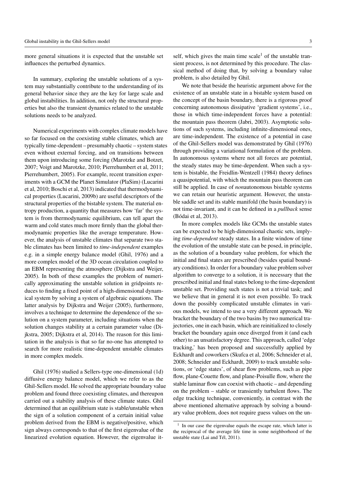more general situations it is expected that the unstable set influences the perturbed dynamics.

In summary, exploring the unstable solutions of a system may substantially contribute to the understanding of its general behavior since they are the key for large scale and global instabilities. In addition, not only the structural properties but also the transient dynamics related to the unstable solutions needs to be analyzed.

Numerical experiments with complex climate models have so far focused on the coexisting stable climates, which are typically time-dependent – presumably chaotic – system states even without external forcing, and on transitions between them upon introducing some forcing (Marotzke and Botzet, 2007; Voigt and Marotzke, 2010; Pierrehumbert et al, 2011; Pierrehumbert, 2005). For example, recent transition experiments with a GCM the Planet Simulator (PlaSim) (Lucarini et al, 2010; Boschi et al, 2013) indicated that thermodynamical properties (Lucarini, 2009b) are useful descriptors of the structural properties of the bistable system. The material entropy production, a quantity that measures how 'far' the system is from thermodynamic equilibrium, can tell apart the warm and cold states much more firmly than the global thermodynamic properties like the average temperature. However, the analysis of unstable climates that separate two stable climates has been limited to *time-independent* examples e.g. in a simple energy balance model (Ghil, 1976) and a more complex model of the 3D ocean circulation coupled to an EBM representing the atmosphere (Dijkstra and Weijer, 2005). In both of these examples the problem of numerically approximating the unstable solution in gridpoints reduces to finding a fixed point of a high-dimensional dynamical system by solving a system of algebraic equations. The latter analysis by Dijkstra and Weijer (2005), furthermore, involves a technique to determine the dependence of the solution on a system parameter, including situations when the solution changes stability at a certain parameter value (Dijkstra, 2005; Dijkstra et al, 2014). The reason for this limitation in the analysis is that so far no-one has attempted to search for more realistic time-dependent unstable climates in more complex models.

Ghil (1976) studied a Sellers-type one-dimensional (1d) diffusive energy balance model, which we refer to as the Ghil-Sellers model. He solved the appropriate boundary value problem and found three coexisting climates, and thereupon carried out a stability analysis of these climate states. Ghil determined that an equilibrium state is stable/unstable when the sign of a solution component of a certain initial value problem derived from the EBM is negative/positive, which sign always corresponds to that of the first eigenvalue of the linearized evolution equation. However, the eigenvalue itself, which gives the main time scale<sup>1</sup> of the unstable transient process, is not determined by this procedure. The classical method of doing that, by solving a boundary value problem, is also detailed by Ghil.

We note that beside the heuristic argument above for the existence of an unstable state in a bistable system based on the concept of the basin boundary, there is a rigorous proof concerning autonomous dissipative 'gradient systems', i.e., those in which time-independent forces have a potential: the mountain pass theorem (Jabri, 2003). Asymptotic solutions of such systems, including infinite-dimensional ones, are time-independent. The existence of a potential in case of the Ghil-Sellers model was demonstrated by Ghil (1976) through providing a variational formulation of the problem. In autonomous systems where not all forces are potential, the steady states may be time-dependent. When such a system is bistable, the Freidlin-Wentzell (1984) theory defines a quasipotential, with which the mountain pass theorem can still be applied. In case of *non*autonomous bistable systems we can retain our heuristic argument. However, the unstable saddle set and its stable manifold (the basin boundary) is not time-invariant, and it can be defined in a *pullback* sense (Bódai et al, 2013).

In more complex models like GCMs the unstable states can be expected to be high-dimensional chaotic sets, implying *time-dependent* steady states. In a finite window of time the evolution of the unstable state can be posed, in principle, as the solution of a boundary value problem, for which the initial and final states are prescribed (besides spatial boundary conditions). In order for a boundary value problem solver algorithm to converge to a solution, it is necessary that the prescribed initial and final states belong to the time-dependent unstable set. Providing such states is not a trivial task; and we believe that in general it is not even possible. To track down the possibly complicated unstable climates in various models, we intend to use a very different approach. We bracket the boundary of the two basins by two numerical trajectories, one in each basin, which are reinitialized to closely bracket the boundary again once diverged from it (and each other) to an unsatisfactory degree. This approach, called 'edge tracking,' has been proposed and successfully applied by Eckhardt and coworkers (Skufca et al, 2006; Schneider et al, 2008; Schneider and Eckhardt, 2009) to track unstable solutions, or 'edge states', of shear flow problems, such as pipe flow, plane-Couette flow, and plane-Poisulle flow, where the stable laminar flow can coexist with chaotic – and depending on the problem – stable or transiently turbulent flows. The edge tracking technique, conveniently, in contrast with the above mentioned alternative approach by solving a boundary value problem, does not require guess values on the un-

<sup>1</sup> In our case the eigenvalue equals the escape rate, which latter is the reciprocal of the average life time in some neighborhood of the unstable state (Lai and Tél, 2011).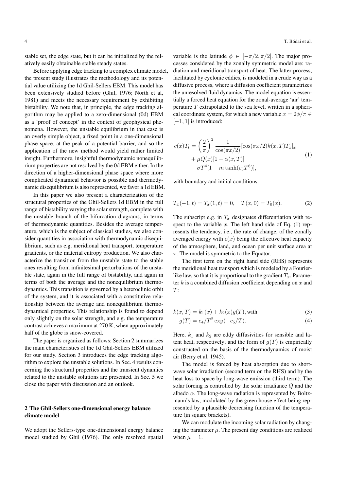stable set, the edge state, but it can be initialized by the relatively easily obtainable stable steady states.

Before applying edge tracking to a complex climate model, the present study illustrates the methodology and its potential value utilizing the 1d Ghil-Sellers EBM. This model has been extensively studied before (Ghil, 1976; North et al, 1981) and meets the necessary requirement by exhibiting bistability. We note that, in principle, the edge tracking algorithm may be applied to a zero-dimensional (0d) EBM as a 'proof of concept' in the context of geophysical phenomena. However, the unstable equilibrium in that case is an overly simple object, a fixed point in a one-dimensional phase space, at the peak of a potential barrier, and so the application of the new method would yield rather limited insight. Furthermore, insightful thermodynamic nonequilibrium properties are not resolved by the 0d EBM either. In the direction of a higher-dimensional phase space where more complicated dynamical behavior is possible and thermodynamic disequilibrium is also represented, we favor a 1d EBM.

In this paper we also present a characterization of the structural properties of the Ghil-Sellers 1d EBM in the full range of bistability varying the solar strength, complete with the unstable branch of the bifurcation diagrams, in terms of thermodynamic quantities. Besides the average temperature, which is the subject of classical studies, we also consider quantities in association with thermodynamic disequilibrium, such as e.g. meridional heat transport, temperature gradients, or the material entropy production. We also characterize the transition from the unstable state to the stable ones resulting from infinitesimal perturbations of the unstable state, again in the full range of bistability, and again in terms of both the average and the nonequilibrium thermodynamics. This transition is governed by a heteroclinic orbit of the system, and it is associated with a constitutive relationship between the average and nonequilibrium thermodynamical properties. This relationship is found to depend only slightly on the solar strength, and e.g. the temperature contrast achieves a maximum at 270 K, when approximately half of the globe is snow-covered.

The paper is organized as follows: Section 2 summarizes the main characteristics of the 1d Ghil-Sellers EBM utilized for our study. Section 3 introduces the edge tracking algorithm to explore the unstable solutions. In Sec. 4 results concerning the structural properties and the transient dynamics related to the unstable solutions are presented. In Sec. 5 we close the paper with discussion and an outlook.

#### 2 The Ghil-Sellers one-dimensional energy balance climate model

We adopt the Sellers-type one-dimensional energy balance model studied by Ghil (1976). The only resolved spatial

variable is the latitude  $\phi \in [-\pi/2, \pi/2]$ . The major processes considered by the zonally symmetric model are: radiation and meridional transport of heat. The latter process, facilitated by cyclonic eddies, is modeled in a crude way as a diffusive process, where a diffusion coefficient parametrizes the unresolved fluid dynamics. The model equation is essentially a forced heat equation for the zonal-average 'air' temperature  $T$  extrapolated to the sea level, written in a spherical coordinate system, for which a new variable  $x = 2\phi/\pi \in$  $[-1, 1]$  is introduced:

$$
c(x)T_t = \left(\frac{2}{\pi}\right)^2 \frac{1}{\cos(\pi x/2)} [\cos(\pi x/2)k(x,T)T_x]_x + \mu Q(x)[1 - \alpha(x,T)] - \sigma T^4 [1 - m \tanh(c_3 T^6)],
$$
 (1)

with boundary and initial conditions:

$$
T_x(-1,t) = T_x(1,t) = 0, \quad T(x,0) = T_0(x). \tag{2}
$$

The subscript e.g. in  $T_x$  designates differentiation with respect to the variable  $x$ . The left hand side of Eq. (1) represents the tendency, i.e., the rate of change, of the zonally averaged energy with  $c(x)$  being the effective heat capacity of the atmosphere, land, and ocean per unit surface area at  $x$ . The model is symmetric to the Equator.

The first term on the right hand side (RHS) represents the meridional heat transport which is modeled by a Fourierlike law, so that it is proportional to the gradient  $T_x$ . Parameter  $k$  is a combined diffusion coefficient depending on  $x$  and T:

$$
k(x,T) = k_1(x) + k_2(x)g(T),
$$
 with (3)

$$
g(T) = c_4/T^2 \exp(-c_5/T). \tag{4}
$$

Here,  $k_1$  and  $k_2$  are eddy diffusivities for sensible and latent heat, respectively; and the form of  $g(T)$  is empirically constructed on the basis of the thermodynamics of moist air (Berry et al, 1945).

The model is forced by heat absorption due to shortwave solar irradiation (second term on the RHS) and by the heat loss to space by long-wave emission (third term). The solar forcing is controlled by the solar irradiance Q and the albedo  $\alpha$ . The long-wave radiation is represented by Boltzmann's law, modulated by the green house effect being represented by a plausible decreasing function of the temperature (in square brackets).

We can modulate the incoming solar radiation by changing the parameter  $\mu$ . The present day conditions are realized when  $\mu = 1$ .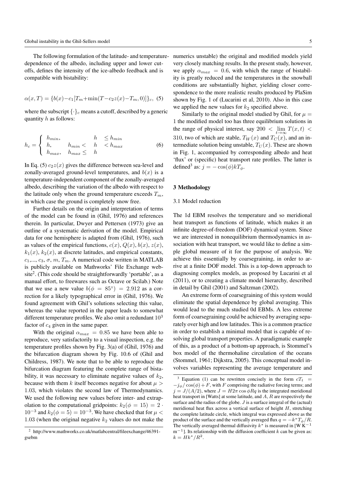The following formulation of the latitude- and temperaturedependence of the albedo, including upper and lower cutoffs, defines the intensity of the ice-albedo feedback and is compatible with bistability:

$$
\alpha(x,T) = \{b(x) - c_1[T_m + \min(T - c_2 z(x) - T_m, 0)]\}_c, (5)
$$

where the subscript  $\{\cdot\}_c$  means a cutoff, described by a generic quantity  $h$  as follows:

$$
h_c = \begin{cases} h_{min}, & h \leq h_{min} \\ h, & h_{min} < h < h_{max} \\ h_{max}, & h_{max} \leq h \end{cases}
$$
 (6)

In Eq. (5)  $c_2z(x)$  gives the difference between sea-level and zonally-averaged ground-level temperatures, and  $b(x)$  is a temperature-independent component of the zonally-averaged albedo, describing the variation of the albedo with respect to the latitude only when the ground temperature exceeds  $T_m$ , in which case the ground is completely snow free.

Further details on the origin and interpretation of terms of the model can be found in (Ghil, 1976) and references therein. In particular, Dwyer and Pettersen (1973) give an outline of a systematic derivation of the model. Empirical data for one hemisphere is adapted from (Ghil, 1976), such as values of the empirical functions,  $c(x)$ ,  $Q(x)$ ,  $b(x)$ ,  $z(x)$ ,  $k_1(x)$ ,  $k_2(x)$ , at discrete latitudes, and empirical constants,  $c_1, ..., c_3, \sigma, m, T_m$ . A numerical code written in MATLAB is publicly available on Mathworks' File Exchange website<sup>2</sup>. (This code should be straightforwardly 'portable', as a manual effort, to freewares such as Octave or Scilab.) Note that we use a new value  $b(\phi = 85^{\circ}) = 2.912$  as a correction for a likely typographical error in (Ghil, 1976). We found agreement with Ghil's solutions selecting this value, whereas the value reported in the paper leads to somewhat different temperature profiles. We also omit a redundant  $10^3$ factor of  $c_4$  given in the same paper.

With the original  $\alpha_{max} = 0.85$  we have been able to reproduce, very satisfactorily to a visual inspection, e.g. the temperature profiles shown by Fig. 3(a) of (Ghil, 1976) and the bifurcation diagram shown by Fig. 10.6 of (Ghil and Childress, 1987). We note that to be able to reproduce the bifurcation diagram featuring the complete range of bistability, it was necessary to eliminate negative values of  $k_2$ , because with them k itself becomes negative for about  $\mu >$ 1.03, which violates the second law of Thermodynamics. We used the following new values before inter- and extrapolation to the computational gridpoints:  $k_2(\phi = 15) = 2$ . 10<sup>-3</sup> and  $k_2(\phi = 5) = 10^{-3}$ . We have checked that for  $\mu$  < 1.03 (when the original negative  $k_2$  values do not make the numerics unstable) the original and modified models yield very closely matching results. In the present study, however, we apply  $\alpha_{max} = 0.6$ , with which the range of bistability is greatly reduced and the temperatures in the snowball conditions are substantially higher, yielding closer correspondence to the more realistic results produced by PlaSim shown by Fig. 1 of (Lucarini et al, 2010). Also in this case we applied the new values for  $k_2$  specified above.

Similarly to the original model studied by Ghil, for  $\mu =$ 1 the modified model too has three equilibrium solutions in the range of physical interest, say  $200 < \lim_{t \to \infty} T(x, t) <$ 310, two of which are stable,  $T_W(x)$  and  $T_C(x)$ , and an intermediate solution being unstable,  $T_U(x)$ . These are shown in Fig. 1, accompanied by corresponding albedo and heat 'flux' or (specific) heat transport rate profiles. The latter is defined<sup>3</sup> as:  $j = -\cos(\phi)kT_{\phi}$ .

#### 3 Methodology

#### 3.1 Model reduction

The 1d EBM resolves the temperature and so meridional heat transport as functions of latitude, which makes it an infinite degree-of-freedom (DOF) dynamical system. Since we are interested in nonequilibrium thermodynamics in association with heat transport, we would like to define a simple global measure of it for the purpose of analysis. We achieve this essentially by coarsegraining, in order to arrive at a finite DOF model. This is a top-down approach to diagnosing complex models, as proposed by Lucarini et al (2011), or to creating a climate model hierarchy, described in detail by Ghil (2001) and Saltzman (2002).

An extreme form of coarsegraining of this system would eliminate the spatial dependence by global averaging. This would lead to the much studied 0d EBMs. A less extreme form of coarsegraining could be achieved by averaging separately over high and low latitudes. This is a common practice in order to establish a minimal model that is capable of resolving global transport properties. A paradigmatic example of this, as a product of a bottom-up approach, is Stommel's box model of the thermohaline circulation of the oceans (Stommel, 1961; Dijkstra, 2005). This conceptual model involves variables representing the average temperature and

<sup>2</sup> http://www.mathworks.co.uk/matlabcentral/fileexchange/46391 gsebm

<sup>&</sup>lt;sup>3</sup> Equation (1) can be rewritten concisely in the form  $cT_t$  =  $-j_{\phi}/\cos(\phi) + F$ , with F comprising the radiative forcing terms; and  $j = J/(A/2)$ , where  $J = H2\pi \cos \phi Rq$  is the integrated meridional heat transport in [Watts] at some latitude, and A, R are respectively the surface and the radius of the globe.  $J$  is a surface integral of the (actual) meridional heat flux across a vertical surface of height  $H$ , stretching the complete latitude circle, which integral was expressed above as the product of the surface and the vertically averaged flux  $q = -kT_p/R$ . The vertically averaged thermal diffusivity  $k^*$  is measured in [W K<sup>-1</sup>  $m^{-1}$ ]. Its relationship with the diffusion coefficient k can be given as:  $k = Hk^*/R^2$ .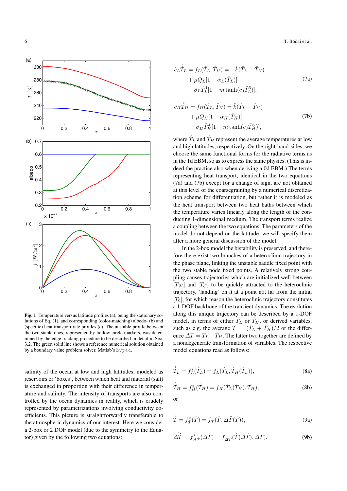

Fig. 1 Temperature versus latitude profiles (a), being the stationary solutions of Eq. (1), and corresponding (color-matching) albedo- (b) and (specific) heat transport rate profiles (c). The unstable profile between the two stable ones, represented by hollow circle markers, was determined by the edge tracking procedure to be described in detail in Sec. 3.2. The green solid line shows a reference numerical solution obtained by a boundary value problem solver, Matlab's bvp4c.

salinity of the ocean at low and high latitudes, modeled as reservoirs or 'boxes', between which heat and material (salt) is exchanged in proportion with their difference in temperature and salinity. The intensity of transports are also controlled by the ocean dynamics in reality, which is crudely represented by parametrizations involving conductivity coefficients. This picture is straightforwardly transferable to the atmospheric dynamics of our interest. Here we consider a 2-box or 2 DOF model (due to the symmetry to the Equator) given by the following two equations:

$$
\hat{c}_L \dot{\hat{T}}_L = f_L(\hat{T}_L, \hat{T}_H) = -\hat{k}(\hat{T}_L - \hat{T}_H) \n+ \mu Q_L [1 - \hat{\alpha}_L(\hat{T}_L)] \n- \hat{\sigma}_L \hat{T}_L^4 [1 - m \tanh(c_3 \hat{T}_L^6)],
$$
\n(7a)

$$
\hat{c}_H \hat{T}_H = f_H(\hat{T}_L, \hat{T}_H) = \hat{k}(\hat{T}_L - \hat{T}_H) + \mu Q_H [1 - \hat{\alpha}_H(\hat{T}_H)] - \hat{\sigma}_H \hat{T}_H^4 [1 - m \tanh(c_3 \hat{T}_H^6)],
$$
\n(7b)

where  $\hat{T}_L$  and  $\hat{T}_H$  represent the average temperatures at low and high latitudes, respectively. On the right-hand-sides, we choose the same functional forms for the radiative terms as in the 1d EBM, so as to express the same physics. (This is indeed the practice also when deriving a 0d EBM.) The terms representing heat transport, identical in the two equations (7a) and (7b) except for a change of sign, are not obtained at this level of the coarsegraining by a numerical discretization scheme for differentiation, but rather it is modeled as the heat transport between two heat baths between which the temperature varies linearly along the length of the conducting 1-dimensional medium. The transport terms realize a coupling between the two equations. The parameters of the model do not depend on the latitude; we will specify them after a more general discussion of the model.

In the 2-box model the bistability is preserved, and therefore there exist two branches of a heteroclinic trajectory in the phase plane, linking the unstable saddle fixed point with the two stable node fixed points. A relatively strong coupling causes trajectories which are initialized well between  $[T_W]$  and  $[T_C]$  to be quickly attracted to the heteroclinic trajectory, 'landing' on it at a point not far from the initial  $[T<sub>0</sub>]$ , for which reason the heteroclinic trajectory constitutes a 1-DOF backbone of the transient dynamics. The evolution along this unique trajectory can be described by a 1-DOF model, in terms of either  $\hat{T}_L$  or  $\hat{T}_H$ , or derived variables, such as e.g. the average  $\hat{T} = (\hat{T}_L + \hat{T}_H)/2$  or the difference  $\Delta \hat{T} = \hat{T}_L - \hat{T}_H$ . The latter two together are defined by a nondegenerate transformation of variables. The respective model equations read as follows:

$$
\dot{\hat{T}}_L = f_L^*(\hat{T}_L) = f_L(\hat{T}_L, \hat{T}_H(\hat{T}_L)),
$$
\n(8a)

$$
\dot{\hat{T}}_H = f_H^*(\hat{T}_H) = f_H(\hat{T}_L(\hat{T}_H), \hat{T}_H),
$$
\n(8b)

or

$$
\dot{\hat{T}} = f_{\hat{T}}^*(\hat{T}) = f_{\hat{T}}(\hat{T}, \Delta \hat{T}(\hat{T})), \tag{9a}
$$

$$
\Delta \hat{T} = f_{\Delta \hat{T}}^* (\Delta \hat{T}) = f_{\Delta \hat{T}}(\hat{T}(\Delta \hat{T}), \Delta \hat{T}).
$$
\n(9b)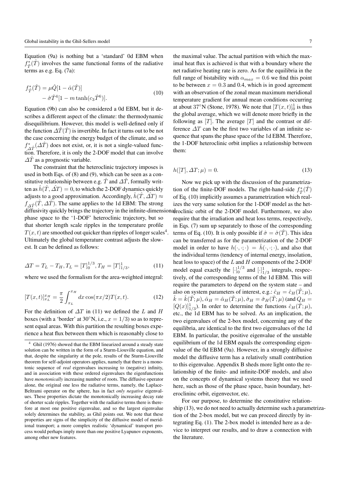Equation (9a) is nothing but a 'standard' 0d EBM when  $f^*_{\hat{T}}(\hat{T})$  involves the same functional forms of the radiative terms as e.g. Eq. (7a):

$$
f_{\hat{T}}^*(\hat{T}) = \mu \hat{Q} [1 - \hat{\alpha}(\hat{T})] - \hat{\sigma} \hat{T}^4 [1 - m \tanh(c_3 \hat{T}^6)].
$$
\n(10)

Equation (9b) can also be considered a 0d EBM, but it describes a different aspect of the climate: the thermodynamic disequilibrium. However, this model is well-defined only if the function  $\Delta \hat{T}(\hat{T})$  is invertible. In fact it turns out to be not the case concerning the energy budget of the climate, and so  $f_{\Delta \hat{T}}^*(\Delta \hat{T})$  does not exist, or, it is not a single-valued function. Therefore, it is only the 2-DOF model that can involve  $\Delta T$  as a prognostic variable.

The constraint that the heteroclinic trajectory imposes is used in both Eqs. of (8) and (9), which can be seen as a constitutive relationship between e.g.  $\hat{T}$  and  $\Delta \hat{T}$ , formally written as  $\hat{h}(\hat{T}, \hat{\Delta T}) = 0$ , to which the 2-DOF dynamics quickly adjusts to a good approximation. Accordingly,  $\hat{h}(T, \Delta T) \approx$  $f_{\Lambda \hat{T}}(\hat{T}, \Delta \hat{T})$ . The same applies to the 1d EBM: The strong diffusivity quickly brings the trajectory in the infinite-dimensionalroclinic orbit of the 2-DOF model. Furthermore, we also phase space to the '1-DOF' heteroclinic trajectory, but so that shorter length scale ripples in the temperature profile  $T(x, t)$  are smoothed out quicker than ripples of longer scales<sup>4</sup>. Ultimately the global temperature contrast adjusts the slowest. It can be defined as follows:

$$
\Delta T = T_L - T_H, T_L = [T]_0^{1/3}, T_H = [T]_{1/3}^1,\tag{11}
$$

where we used the formalism for the area-weighted integral:

$$
[T(x,t)]_{x_L}^{x_H} = \frac{\pi}{2} \int_{x_L}^{x_H} dx \cos(\pi x/2) T(x,t).
$$
 (12)

For the definition of  $\Delta T$  in (11) we defined the L and H boxes (with a 'border' at  $30^\circ$ N, i.e.,  $x = 1/3$ ) so as to represent equal areas. With this partition the resulting boxes experience a heat flux between them which is reasonably close to

the maximal value. The actual partition with which the maximal heat flux is achieved is that with a boundary where the net radiative heating rate is zero. As for the equilibria in the full range of bistability with  $\alpha_{max} = 0.6$  we find this point to be between  $x = 0.3$  and 0.4, which is in good agreement with an observation of the zonal mean maximum meridional temperature gradient for annual mean conditions occurring at about 37°N (Stone, 1978). We note that  $[T(x,t)]_0^1$  is thus the global average, which we will denote more briefly in the following as  $[T]$ . The average  $[T]$  and the contrast or difference  $\Delta T$  can be the first two variables of an infinite sequence that spans the phase space of the 1d EBM. Therefore, the 1-DOF heteroclinic orbit implies a relationship between them:

$$
h([T], \Delta T; \mu) = 0. \tag{13}
$$

Now we pick up with the discussion of the parametrization of the finite-DOF models. The right-hand-side  $f_{\hat{T}}^*(\hat{T})$ of Eq. (10) implicitly assumes a parametrization which realizes the very same solution for the 1-DOF model as the hetrequire that the irradiation and heat loss terms, respectively, in Eqs. (7) sum up separately to those of the corresponding terms of Eq. (10). It is only possible if  $\hat{\sigma} = \hat{\sigma}(\hat{T})$ . This idea can be transferred as for the parametrization of the 2-DOF model in order to have  $h(\cdot, \cdot; \cdot) = \hat{h}(\cdot, \cdot; \cdot)$ , and also that the individual terms (tendency of internal energy, insolation, heat loss to space) of the  $L$  and  $H$  components of the 2-DOF model equal exactly the  $[\cdot]_0^{1/3}$  and  $[\cdot]_{1/3}^{1}$  integrals, respectively, of the corresponding terms of the 1d EBM. This will require the parameters to depend on the system state – and also on system parameters of interest, e.g.:  $\hat{c}_H = \hat{c}_H(\hat{T}; \mu)$ ,  $\hat{k} = \hat{k}(\hat{T}; \mu), \hat{\alpha}_H = \hat{\alpha}_H(\hat{T}; \mu), \hat{\sigma}_H = \hat{\sigma}_H(\hat{T}; \mu)$  (and  $Q_H =$  $[Q(x)]_{1/3}^1$ ). In order to determine the functions  $\hat{c}_H(\hat{T}; \mu)$ , etc., the 1d EBM has to be solved. As an implication, the two eigenvalues of the 2-box model, concerning any of the equilibria, are identical to the first two eigenvalues of the 1d EBM. In particular, the positive eigenvalue of the unstable equilibrium of the 1d EBM equals the corresponding eigenvalue of the 0d EBM (9a). However, in a strongly diffusive model the diffusive term has a relatively small contribution to this eigenvalue. Appendix B sheds more light onto the relationship of the finite- and infinite-DOF models, and also on the concepts of dynamical systems theory that we used here, such as those of the phase space, basin boundary, heteroclininc orbit, eigenvector, etc.

For our purpose, to determine the constitutive relationship (13), we do not need to actually determine such a parametrization of the 2-box model, but we can proceed directly by integrating Eq. (1). The 2-box model is intended here as a device to interpret our results, and to draw a connection with the literature.

<sup>4</sup> Ghil (1976) showed that the EBM linearized around a steady state solution can be written in the form of a Sturm-Liouville equation, and that, despite the singularity at the pole, results of the Sturm-Liouville theorem for self-adjoint operators applies, namely that there is a monotonic sequence of *real* eigenvalues increasing to (negative) infinity, and in association with these ordered eigenvalues the eigenfunctions have *monotonically* increasing number of roots. The diffusive operator alone, the original one less the radiative terms, namely, the Laplace-Beltrami operator on the sphere, has in fact *only negative* eigenvalues. These properties dictate the monotonically increasing decay rate of shorter scale ripples. Together with the radiative terms there is therefore at most one positive eigenvalue, and so the largest eigenvalue solely determines the stability, as Ghil points out. We note that these properties are signs of the simplicity of the diffusive model of meridional transport; a more complex realistic 'dynamical' transport process would perhaps imply more than one positive Lyapunov exponents, among other new features.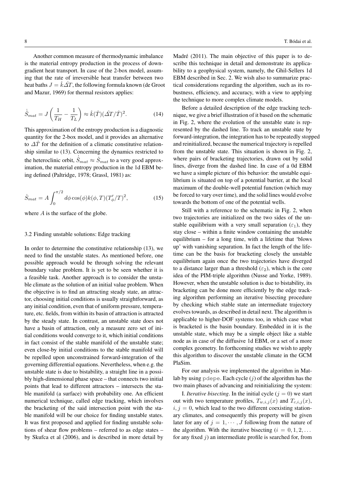Another common measure of thermodynamic imbalance is the material entropy production in the process of downgradient heat transport. In case of the 2-box model, assuming that the rate of irreversible heat transfer between two heat baths  $J = \hat{k}\Delta T$ , the following formula known (de Groot and Mazur, 1969) for thermal resistors applies:

$$
\dot{\hat{S}}_{mat} = J\left(\frac{1}{T_H} - \frac{1}{T_L}\right) \approx \hat{k}(\hat{T})(\hat{\Delta T}/\hat{T})^2.
$$
 (14)

This approximation of the entropy production is a diagnostic quantity for the 2-box model, and it provides an alternative to  $\Delta \hat{T}$  for the definition of a climatic constitutive relationship similar to (13). Concerning the dynamics restricted to the heteroclinic orbit,  $\dot{S}_{mat} \approx \dot{S}_{mat}$  to a very good approximation, the material entropy production in the 1d EBM being defined (Paltridge, 1978; Grassl, 1981) as:

$$
\dot{S}_{mat} = A \int_0^{\pi/2} d\phi \cos(\phi) k(\phi, T) (T'_{\phi}/T)^2,
$$
 (15)

where  $A$  is the surface of the globe.

#### 3.2 Finding unstable solutions: Edge tracking

In order to determine the constitutive relationship (13), we need to find the unstable states. As mentioned before, one possible approach would be through solving the relevant boundary value problem. It is yet to be seen whether it is a feasible task. Another approach is to consider the unstable climate as the solution of an initial value problem. When the objective is to find an attracting steady state, an attractor, choosing initial conditions is usually straightforward, as any initial condition, even that of uniform pressure, temperature, etc. fields, from within its basin of attraction is attracted by the steady state. In contrast, an unstable state does not have a basin of attraction, only a measure zero set of initial conditions would converge to it, which initial conditions in fact consist of the stable manifold of the unstable state; even close-by initial conditions to the stable manifold will be repelled upon unconstrained forward-integration of the governing differential equations. Nevertheless, when e.g. the unstable state is due to bistability, a straight line in a possibly high-dimensional phase space – that connects two initial points that lead to different attractors – intersects the stable manifold (a surface) with probability one. An efficient numerical technique, called edge tracking, which involves the bracketing of the said intersection point with the stable manifold will be our choice for finding unstable states. It was first proposed and applied for finding unstable solutions of shear flow problems – referred to as edge states – by Skufca et al (2006), and is described in more detail by Madré (2011). The main objective of this paper is to describe this technique in detail and demonstrate its applicability to a geophysical system, namely, the Ghil-Sellers 1d EBM described in Sec. 2. We wish also to summarize practical considerations regarding the algorithm, such as its robustness, efficiency, and accuracy, with a view to applying the technique to more complex climate models.

Before a detailed description of the edge tracking technique, we give a brief illustration of it based on the schematic in Fig. 2, where the evolution of the unstable state is represented by the dashed line. To track an unstable state by forward-integration, the integration has to be repeatedly stopped and reinitialized, because the numerical trajectory is repelled from the unstable state. This situation is shown in Fig. 2, where pairs of bracketing trajectories, drawn out by solid lines, diverge from the dashed line. In case of a 0d EBM we have a simple picture of this behavior: the unstable equilibrium is situated on top of a potential barrier, at the local maximum of the double-well potential function (which may be forced to vary over time), and the solid lines would evolve towards the bottom of one of the potential wells.

Still with a reference to the schematic in Fig. 2, when two trajectories are initialized on the two sides of the unstable equilibrium with a very small separation ( $\varepsilon_1$ ), they stay close – within a finite window containing the unstable equilibrium – for a long time, with a lifetime that 'blows up' with vanishing separation. In fact the length of the lifetime can be the basis for bracketing closely the unstable equilibrium again once the two trajectories have diverged to a distance larger than a threshold  $(\varepsilon_2)$ , which is the core idea of the PIM-triple algorithm (Nusse and Yorke, 1989). However, when the unstable solution is due to bistability, its bracketing can be done more efficiently by the edge tracking algorithm performing an iterative bisecting procedure by checking which stable state an intermediate trajectory evolves towards, as described in detail next. The algorithm is applicable to higher-DOF systems too, in which case what is bracketed is the basin boundary. Embedded in it is the unstable state, which may be a simple object like a stable node as in case of the diffusive 1d EBM, or a set of a more complex geometry. In forthcoming studies we wish to apply this algorithm to discover the unstable climate in the GCM PlaSim.

For our analysis we implemented the algorithm in Matlab by using pdepe. Each cycle  $(j)$  of the algorithm has the two main phases of advancing and reinitializing the system:

I. *Iterative bisecting*. In the initial cycle  $(j = 0)$  we start out with two temperature profiles,  $T_{w,i,j}(x)$  and  $T_{c,i,j}(x)$ ,  $i, j = 0$ , which lead to the two different coexisting stationary climates, and consequently this property will be given later for any of  $j = 1, \dots, J$  following from the nature of the algorithm. With the iterative bisecting  $(i = 0, 1, 2, \ldots)$ for any fixed  $j$ ) an intermediate profile is searched for, from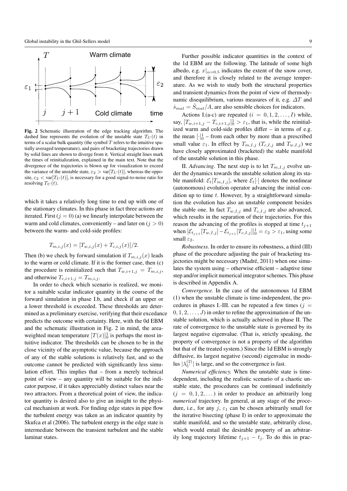

Fig. 2 Schematic illustration of the edge tracking algorithm. The dashed line represents the evolution of the unstable state  $T_U(t)$  in terms of a scalar bulk quantity (the symbol  $T$  refers to the intuitive spatially averaged temperature), and pairs of bracketing trajectories drawn by solid lines are shown to diverge from it. Vertical straight lines mark the times of reinitialization, explained in the main text. Note that the divergence of the trajectories is blown up for visualization to exceed the variance of the unstable state,  $\varepsilon_2 > \text{var}[T_U(t)]$ , whereas the opposite,  $\varepsilon_2 < \text{var}[T_U(t)]$ , is necessary for a good signal-to-noise ratio for resolving  $T_U(t)$ .

which it takes a relatively long time to end up with one of the stationary climates. In this phase in fact three actions are iterated. First  $(j = 0)$  (a) we linearly interpolate between the warm and cold climates, conveniently – and later on  $(j > 0)$ between the warm- and cold-side profiles:

$$
T_{m,i,j}(x) = [T_{w,i,j}(x) + T_{c,i,j}(x)]/2.
$$

Then (b) we check by forward simulation if  $T_{m,i,j}(x)$  leads to the warm or cold climate. If it is the former case, then (c) the procedure is reinitialized such that  $T_{w,i+1,j} = T_{m,i,j}$ , and otherwise  $T_{c,i+1,j} = T_{m,i,j}$ .

In order to check which scenario is realized, we monitor a suitable scalar indicator quantity in the course of the forward simulation in phase I.b, and check if an upper or a lower threshold is exceeded. These thresholds are determined as a preliminary exercise, verifying that their excedance predicts the outcome with certainty. Here, with the 0d EBM and the schematic illustration in Fig. 2 in mind, the areaweighted mean temperature  $[T(x)]_0^1$  is perhaps the most intuitive indicator. The thresholds can be chosen to be in the close vicinity of the asymptotic value, because the approach of any of the stable solutions is relatively fast, and so the outcome cannot be predicted with significantly less simulation effort. This implies that – from a merely technical point of view – any quantity will be suitable for the indicator purpose, if it takes appreciably distinct values near the two attractors. From a theoretical point of view, the indicator quantity is desired also to give an insight to the physical mechanism at work. For finding edge states in pipe flow the turbulent energy was taken as an indicator quantity by Skufca et al (2006). The turbulent energy in the edge state is intermediate between the transient turbulent and the stable laminar states.

Further possible indicator quantities in the context of the 1d EBM are the following. The latitude of some high albedo, e.g.  $x|_{\alpha=0.5}$  indicates the extent of the snow cover, and therefore it is closely related to the average temperature. As we wish to study both the structural properties and transient dynamics from the point of view of thermodynamic disequilibrium, various measures of it, e.g.  $\Delta T$  and  $\dot{s}_{mat} = \dot{S}_{mat}/A$ , are also sensible choices for indicators.

Actions I.(a-c) are repeated  $(i = 0, 1, 2, \dots, I)$  while, say,  $[T_{w,i+1,j} - T_{c,i+1,j}]_0^1 > \varepsilon_1$ , that is, while the reinitialized warm and cold-side profiles differ – in terms of e.g. the mean  $[\cdot]_0^1$  – from each other by more than a prescribed small value  $\varepsilon_1$ . In effect by  $T_{m,I,j}$  ( $T_{c,I,j}$  and  $T_{w,I,j}$ ) we have closely approximated (bracketed) the stable manifold of the unstable solution in this phase.

II. *Advancing*. The next step is to let  $T_{m,I,j}$  evolve under the dynamics towards the unstable solution along its stable manifold:  $\mathcal{E}_t[T_{m,I,j}]$ , where  $\mathcal{E}_t[\cdot]$  denotes the nonlinear (autonomous) evolution operator advancing the initial condition up to time  $t$ . However, by a straightforward simulation the evolution has also an unstable component besides the stable one. In fact  $T_{w,I,j}$  and  $T_{c,I,j}$  are also advanced, which results in the separation of their trajectories. For this reason the advancing of the profiles is stopped at time  $t_{j+1}$ when  $[\mathcal{E}_{t_{j+1}}[T_{w,I,j}] - \mathcal{E}_{t_{j+1}}[T_{c,I,j}]]_0^1 = \varepsilon_2 > \varepsilon_1$ , using some small  $\varepsilon_2$ .

*Robustness.* In order to ensure its robustness, a third (III) phase of the procedure adjusting the pair of bracketing trajectories might be necessary (Madré, 2011) when one simulates the system using – otherwise efficient – adaptive time step and/or implicit numerical integrator schemes. This phase is described in Appendix A.

*Convergence.* In the case of the autonomous 1d EBM (1) when the unstable climate is time-independent, the procedures in phases I.-III. can be repeated a few times ( $j =$  $(0, 1, 2, \ldots, J)$  in order to refine the approximation of the unstable solution, which is actually achieved in phase II. The rate of convergence to the unstable state is governed by its largest negative eigenvalue. (That is, strictly speaking, the property of convergence is not a property of the algorithm but that of the treated system.) Since the 1d EBM is strongly diffusive, its largest negative (second) eigenvalue in modulus  $|\lambda_U^{(2)}\rangle$  $|U|$  is large, and so the convergence is fast.

*Numerical efficiency.* When the unstable state is timedependent, including the realistic scenario of a chaotic unstable state, the procedures can be continued indefinitely  $(j = 0, 1, 2, ...)$  in order to produce an arbitrarily long *numerical* trajectory. In general, at any stage of the procedure, i.e., for any j,  $\varepsilon_1$  can be chosen arbitrarily small for the iterative bisecting (phase I) in order to approximate the stable manifold, and so the unstable state, arbitrarily close, which would entail the desirable property of an arbitrarily long trajectory lifetime  $t_{i+1} - t_i$ . To do this in prac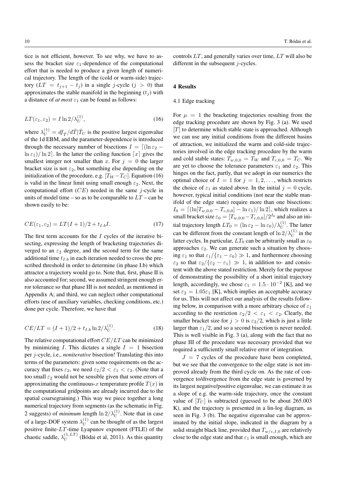tice is not efficient, however. To see why, we have to assess the bracket size  $\varepsilon_1$ -dependence of the computational effort that is needed to produce a given length of numerical trajectory. The length of the (cold or warm-side) trajectory  $(LT = t_{j+1} - t_j)$  in a single j-cycle  $(j > 0)$  that approximates the stable manifold in the beginning  $(t<sub>i</sub>)$  with a distance of *at most*  $\varepsilon_1$  can be found as follows:

$$
LT(\varepsilon_1, \varepsilon_2) = I \ln 2/\lambda_U^{(1)},\tag{16}
$$

where  $\lambda_U^{(1)} = df_{\hat{T}}/d\hat{T}|\hat{T}_U$  is the positive largest eigenvalue of the 1d EBM, and the parameter-dependence is introduced through the necessary number of bisections  $I = \left[ (\ln \varepsilon_2 \ln \epsilon_1$ /  $\ln 2$ . In the latter the ceiling function  $\lceil x \rceil$  gives the smallest integer not smaller than x. For  $j = 0$  the larger bracket size is not  $\varepsilon_2$ , but something else depending on the initialization of the procedure, e.g.  $[T_W - T_C]$ . Equation (16) is valid in the linear limit using small enough  $\varepsilon_2$ . Next, the computational effort  $(CE)$  needed in the same *j*-cycle in units of model time – so as to be comparable to  $LT$  – can be shown easily to be:

$$
CE(\varepsilon_1, \varepsilon_2) = LT(I+1)/2 + t_{I.b}I.
$$
\n(17)

The first term accounts for the  $I$  cycles of the iterative bisecting, expressing the length of bracketing trajectories diverged to an  $\varepsilon_2$  degree, and the second term for the same additional time  $t_{I,b}$  in each iteration needed to cross the prescribed threshold in order to determine (in phase I.b) which attractor a trajectory would go to. Note that, first, phase II is also accounted for; second, we assumed stringent enough error tolerance so that phase III is not needed, as mentioned in Appendix A; and third, we can neglect other computational efforts (use of auxiliary variables, checking conditions, etc.) done per cycle. Therefore, we have that

$$
CE/LT = (I+1)/2 + t_{I,b} \ln 2/\lambda_U^{(1)}.
$$
 (18)

The relative computational effort  $CE/LT$  can be minimized by minimizing I. This dictates a single  $I = 1$  bisection per j-cycle, i.e., *noniterative* bisection! Translating this into terms of the parameters: given some requirements on the accuracy that fixes  $\varepsilon_2$ , we need  $\varepsilon_2/2 < \varepsilon_1 < \varepsilon_2$ . (Note that a too small  $\varepsilon_2$  would not be sensible given that some errors of approximating the continuous-x temperature profile  $T(x)$  in the computational gridpoints are already incurred due to the spatial coarsegraining.) This way we piece together a long numerical trajectory from segments (as the schematic in Fig. 2 suggests) of *minimum* length  $\ln 2/\lambda_U^{(1)}$ . Note that in case of a large-DOF system  $\lambda_{U}^{(1)}$  $U^{(1)}$  can be thought of as the largest positive finite- $LT$ -time Lyapunov exponent (FTLE) of the chaotic saddle,  $\lambda_{II}^{(1,LT)}$  $U^{(1,LI)}$  (Bódai et al, 2011). As this quantity

controls LT, and generally varies over time, LT will also be different in the subsequent  $j$ -cycles.

#### 4 Results

#### 4.1 Edge tracking

For  $\mu = 1$  the bracketing trajectories resulting from the edge tracking procedure are shown by Fig. 3 (a). We used  $[T]$  to determine which stable state is approached. Although we can use any initial conditions from the different basins of attraction, we initialized the warm and cold-side trajectories involved in the edge tracking procedure by the warm and cold stable states:  $T_{w,0,0} = T_W$  and  $T_{c,0,0} = T_C$ . We are yet to choose the tolerance parameters  $\varepsilon_1$  and  $\varepsilon_2$ . This hinges on the fact, partly, that we adopt in our numerics the optimal choice of  $I = 1$  for  $j = 1, 2, \dots$ , which restricts the choice of  $\varepsilon_1$  as stated above. In the initial  $j = 0$  cycle, however, typical initial conditions (not near the stable manifold of the edge state) require more than one bisections:  $I_0 = \left[ (\ln[T_{w,0,0} - T_{c,0,0}] - \ln \varepsilon_1)/\ln 2 \right]$ , which realizes a small bracket size  $\varepsilon_0 = [T_{w,0,0} - T_{c,0,0}]/2^{I_0}$  and also an initial trajectory length  $LT_0 = (\ln \varepsilon_2 - \ln \varepsilon_0)/\lambda_U^{(1)}$ . The latter can be different from the constant length of  $\ln 2/\lambda_U^{(1)}$  in the latter cycles. In particular,  $LT_0$  can be arbitrarily small as  $\varepsilon_0$ approaches  $\varepsilon_2$ . We can generate such a situation by choosing  $\varepsilon_1$  so that  $\varepsilon_1/\{\varepsilon_1-\varepsilon_0\}\gg 1$ , and furthermore choosing  $\varepsilon_2$  so that  $\varepsilon_2/\{\varepsilon_2-\varepsilon_1\} \gg 1$ , in addition to- and consistent with the above stated restriction. Merely for the purpose of demonstrating the possibility of a short initial trajectory length, accordingly, we chose  $\varepsilon_1 = 1.5 \cdot 10^{-2}$  [K], and we set  $\varepsilon_2 = 1.05\varepsilon_1$  [K], which implies an acceptable accuracy for us. This will not affect our analysis of the results following below, in comparison with a more arbitrary choice of  $\varepsilon_1$ according to the restriction  $\varepsilon_2/2 < \varepsilon_1 < \varepsilon_2$ . Clearly, the smaller bracket size for  $j > 0$  is  $\varepsilon_2/2$ , which is just a little larger than  $\varepsilon_1/2$ , and so a second bisection is never needed. This is well visible in Fig. 3 (a), along with the fact that no phase III of the procedure was necessary provided that we required a sufficiently small relative error of integration.

 $J = 7$  cycles of the procedure have been completed, but we see that the convergence to the edge state is not improved already from the third cycle on. As the rate of convergence to/divergence from the edge state is governed by its largest negative/positive eigenvalue, we can estimate it as a slope of e.g. the warm-side trajectory, once the constant value of  $[T_U]$  is subtracted (guessed to be about 265.003 K), and the trajectory is presented in a lin-log diagram, as seen in Fig. 3 (b). The negative eigenvalue can be approximated by the initial slope, indicated in the diagram by a solid straight black line, provided that  $T_{w/c, I, 0}$  are relatively close to the edge state and that  $\varepsilon_1$  is small enough, which are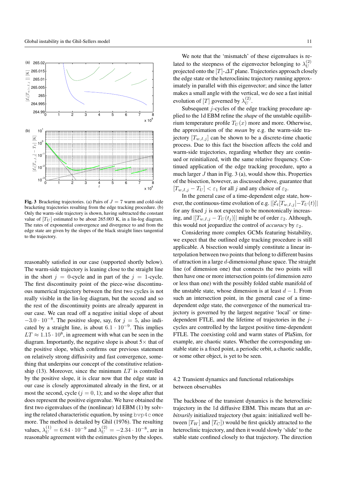

Fig. 3 Bracketing trajectories. (a) Pairs of  $J = 7$  warm and cold-side bracketing trajectories resulting from the edge tracking procedure. (b) Only the warm-side trajectory is shown, having subtracted the constant value of  $[T_U]$  estimated to be about 265.003 K, in a lin-log diagram. The rates of exponential convergence and divergence to and from the edge state are given by the slopes of the black straight lines tangential to the trajectory.

reasonably satisfied in our case (supported shortly below). The warm-side trajectory is leaning close to the straight line in the short  $j = 0$ -cycle and in part of the  $j = 1$ -cycle. The first discontinuity point of the piece-wise discontinuous numerical trajectory between the first two cycles is not really visible in the lin-log diagram, but the second and so the rest of the discontinuity points are already apparent in our case. We can read off a negative initial slope of about  $-3.0 \cdot 10^{-8}$ . The positive slope, say, for  $j = 5$ , also indicated by a straight line, is about  $6.1 \cdot 10^{-9}$ . This implies  $LT \approx 1.15 \cdot 10^8$ , in agreement with what can be seen in the diagram. Importantly, the negative slope is about  $5\times$  that of the positive slope, which confirms our previous statement on relatively strong diffusivity and fast convergence, something that underpins our concept of the constitutive relationship (13). Moreover, since the minimum  $LT$  is controlled by the positive slope, it is clear now that the edge state in our case is closely approximated already in the first, or at most the second, cycle  $(j = 0, 1)$ ; and so the slope after that does represent the positive eigenvalue. We have obtained the first two eigenvalues of the (nonlinear) 1d EBM (1) by solving the related characteristic equation, by using bvp4c once more. The method is detailed by Ghil (1976). The resulting values,  $\lambda_U^{(1)} = 6.84 \cdot 10^{-9}$  and  $\lambda_U^{(2)} = -2.34 \cdot 10^{-8}$ , are in reasonable agreement with the estimates given by the slopes.

We note that the 'mismatch' of these eigenvalues is related to the steepness of the eigenvector belonging to  $\lambda_U^{(2)}$ U projected onto the  $[T]$ - $\Delta T$  plane. Trajectories approach closely the edge state or the heteroclininc trajectory running approximately in parallel with this eigenvector; and since the latter makes a small angle with the vertical, we do see a fast initial evolution of [T] governed by  $\lambda_U^{(2)}$  $U^{(2)}$ .

Subsequent *j*-cycles of the edge tracking procedure applied to the 1d EBM refine the *shape* of the unstable equilibrium temperature profile  $T_U(x)$  more and more. Otherwise, the approximation of the *mean* by e.g. the warm-side trajectory  $[T_{w,I,j}]$  can be shown to be a discrete-time chaotic process. Due to this fact the bisection affects the cold and warm-side trajectories, regarding whether they are continued or reinitialized, with the same relative frequency. Continued application of the edge tracking procedure, upto a much larger  $J$  than in Fig. 3 (a), would show this. Properties of the bisection, however, as discussed above, guarantee that  $[T_{w,I,j} - T_U] < \varepsilon_1$  for all j and any choice of  $\varepsilon_2$ .

In the general case of a time-dependent edge state, however, the continuous-time evolution of e.g.  $\left|\left[\mathcal{E}_{t}[T_{w,I,j}]-T_{U}(t)\right]\right|$ for any fixed  $j$  is not expected to be monotonically increasing, and  $|[T_{w,I,j} - T_U(t_j)]|$  might be of order  $\varepsilon_2$ . Although, this would not jeopardize the control of *accuracy* by  $\varepsilon_2$ .

Considering more complex GCMs featuring bistability, we expect that the outlined edge tracking procedure is still applicable. A bisection would simply constitute a linear interpolation between two points that belong to different basins of attraction in a large d-dimensional phase space. The straight line (of dimension one) that connects the two points will then have one or more intersection points (of dimension zero or less than one) with the possibly folded stable manifold of the unstable state, whose dimension is at least  $d - 1$ . From such an intersection point, in the general case of a timedependent edge state, the convergence of the numerical trajectory is governed by the largest negative 'local' or timedependent FTLE, and the lifetime of trajectories in the jcycles are controlled by the largest positive time-dependent FTLE. The coexisting cold and warm states of PlaSim, for example, are chaotic states. Whether the corresponding unstable state is a fixed point, a periodic orbit, a chaotic saddle, or some other object, is yet to be seen.

#### 4.2 Transient dynamics and functional relationships between observables

The backbone of the transient dynamics is the heteroclinic trajectory in the 1d diffusive EBM. This means that an *arbitrarily* initialized trajectory (but again: initialized well between  $[T_W]$  and  $[T_C]$ ) would be first quickly attracted to the heteroclinic trajectory, and then it would slowly 'slide' to the stable state confined closely to that trajectory. The direction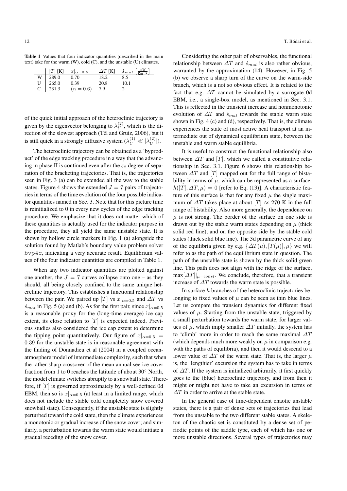|  |  |                                                                               | <b>Table 1</b> Values that four indicator quantities (described in the main |
|--|--|-------------------------------------------------------------------------------|-----------------------------------------------------------------------------|
|  |  | text) take for the warm $(W)$ , cold $(C)$ , and the unstable $(U)$ climates. |                                                                             |

|                                                         | [T] [K] $x _{\alpha=0.5}$ | $\Delta T$ [K] | $\left[\frac{\text{mW}}{\text{K}\text{m}-2}\right]$ |
|---------------------------------------------------------|---------------------------|----------------|-----------------------------------------------------|
|                                                         | 0.70                      | 18.2           | 8.5                                                 |
| $\begin{array}{c c} W & 289.0 \\ U & 265.0 \end{array}$ | 0.39                      | 20.8           | 10.1                                                |
| $C$   231.3                                             | $(\alpha = 0.6)$          | 7.9            |                                                     |

of the quick initial approach of the heteroclinic trajectory is given by the eigenvector belonging to  $\lambda_U^{(2)}$  $U^{(2)}$ , which is the direction of the slowest approach (Tél and Gruiz, 2006), but it is still quick in a strongly diffusive system  $(\lambda_U^{(1)} \ll |\lambda_U^{(2)}|)$  $|U^{(2)}|$ ).

The heteroclinic trajectory can be obtained as a 'byproduct' of the edge tracking procedure in a way that the advancing in phase II is continued even after the  $\varepsilon_2$  degree of separation of the bracketing trajectories. That is, the trajectories seen in Fig. 3 (a) can be extended all the way to the stable states. Figure 4 shows the extended  $J = 7$  pairs of trajectories in terms of the time evolution of the four possible indicator quantities named in Sec. 3. Note that for this picture time is reinitialized to 0 in every new cycles of the edge tracking procedure. We emphasize that it does not matter which of these quantities is actually used for the indicator purpose in the procedure, they all yield the same unstable state. It is shown by hollow circle markers in Fig. 1 (a) alongside the solution found by Matlab's boundary value problem solver bvp4c, indicating a very accurate result. Equilibrium values of the four indicator quantities are compiled in Table 1.

When any two indicator quantities are plotted against one another, the  $J = 7$  curves collapse onto one – as they should, all being closely confined to the same unique heterclinic trajectory. This establishes a functional relationship between the pair. We paired up [T] vs  $x|_{\alpha=0.5}$  and  $\Delta T$  vs  $\dot{s}_{mat}$  in Fig. 5 (a) and (b). As for the first pair, since  $x|_{\alpha=0.5}$ is a reasonable proxy for the (long-time average) ice cap extent, its close relation to  $[T]$  is expected indeed. Previous studies also considered the ice cap extent to determine the tipping point quantitatively. Our figure of  $x|_{\alpha=0.5}$  = 0.39 for the unstable state is in reasonable agreement with the finding of Donnadieu et al (2004) in a coupled oceanatmosphere model of intermediate complexity, such that when the rather sharp crossover of the mean annual see ice cover fraction from 1 to 0 reaches the latitude of about 30◦ North, the model climate switches abruptly to a snowball state. Therefore, if  $[T]$  is governed approximately by a well-defined 0d EBM, then so is  $x|_{\alpha=0.5}$  (at least in a limited range, which does not include the stable cold completely snow covered snowball state). Consequently, if the unstable state is slightly perturbed toward the cold state, then the climate experiences a monotonic or gradual increase of the snow cover; and similarly, a perturbation towards the warm state would initiate a gradual receding of the snow cover.

Considering the other pair of observables, the functional relationship between  $\Delta T$  and  $\dot{s}_{mat}$  is also rather obvious, warranted by the approximation (14). However, in Fig. 5 (b) we observe a sharp turn of the curve on the warm-side branch, which is a not so obvious effect. It is related to the fact that e.g.  $\Delta T$  cannot be simulated by a surrogate 0d EBM, i.e., a single-box model, as mentioned in Sec. 3.1. This is reflected in the transient increase and nonmonotonic evolution of  $\Delta T$  and  $\dot{s}_{mat}$  towards the stable warm state shown in Fig. 4 (c) and (d), respectively. That is, the climate experiences the state of most active heat transport at an intermediate out of dynamical equilibrium state, between the unstable and warm stable equilibria.

It is useful to construct the functional relationship also between  $\Delta T$  and [T], which we called a constitutive relationship in Sec. 3.1. Figure 6 shows this relationship between  $\Delta T$  and  $[T]$  mapped out for the full range of bistability in terms of  $\mu$ , which can be represented as a surface:  $h([T], \Delta T, \mu) = 0$  [refer to Eq. (13)]. A characteristic feature of this surface is that for any fixed  $\mu$  the single maximum of  $\Delta T$  takes place at about  $[T] \approx 270$  K in the full range of bistability. Also more generally, the dependence on  $\mu$  is not strong. The border of the surface on one side is drawn out by the stable warm states depending on  $\mu$  (thick solid red line), and on the opposite side by the stable cold states (thick solid blue line). The 3d parametric curve of any of the equilibria given by e.g.  $\{\Delta T(\mu), [T(\mu)], \mu\}$  we will refer to as the path of the equilibrium state in question. The path of the unstable state is shown by the thick solid green line. This path does not align with the ridge of the surface,  $\max[\Delta T]_{\mu=const.}$  We conclude, therefore, that a transient increase of  $\Delta T$  towards the warm state is possible.

In surface h branches of the heteroclinic trajectories belonging to fixed values of  $\mu$  can be seen as thin blue lines. Let us compare the transient dynamics for different fixed values of  $\mu$ . Starting from the unstable state, triggered by a small perturbation towards the warm state, for larger values of  $\mu$ , which imply smaller  $\Delta T$  initially, the system has to 'climb' more in order to reach the same maximal ∆T (which depends much more weakly on  $\mu$  in comparison e.g. with the paths of equilibria), and then it would descend to a lower value of  $\Delta T$  of the warm state. That is, the larger  $\mu$ is, the 'lengthier' excursion the system has to take in terms of  $\Delta T$ . If the system is initialized arbitrarily, it first quickly goes to the (blue) heteroclinic trajectory, and from then it might or might not have to take an excursion in terms of  $\Delta T$  in order to arrive at the stable state.

In the general case of time-dependent chaotic unstable states, there is a pair of dense sets of trajectories that lead from the unstable to the two different stable states. A skeleton of the chaotic set is constituted by a dense set of periodic points of the saddle type, each of which has one or more unstable directions. Several types of trajectories may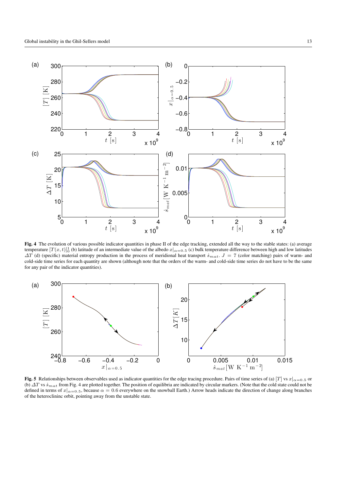

Fig. 4 The evolution of various possible indicator quantities in phase II of the edge tracking, extended all the way to the stable states: (a) average temperature  $[T(x,t)]_0^1$  (b) latitude of an intermediate value of the albedo  $x|_{\alpha=0.5}$  (c) bulk temperature difference between high and low latitudes  $\Delta T$  (d) (specific) material entropy production in the process of meridional heat transport  $s_{mat}$ .  $J = 7$  (color matching) pairs of warm- and cold-side time series for each quantity are shown (although note that the orders of the warm- and cold-side time series do not have to be the same for any pair of the indicator quantities).



Fig. 5 Relationships between observables used as indicator quantities for the edge tracing procedure. Pairs of time series of (a) [T] vs  $x|_{\alpha=0.5}$  or (b)  $\Delta T$  vs  $\dot{s}_{mat}$  from Fig. 4 are plotted together. The position of equilibria are indicated by circular markers. (Note that the cold state could not be defined in terms of  $x|_{\alpha=0.5}$ , because  $\alpha=0.6$  everywhere on the snowball Earth.) Arrow heads indicate the direction of change along branches of the heteroclininc orbit, pointing away from the unstable state.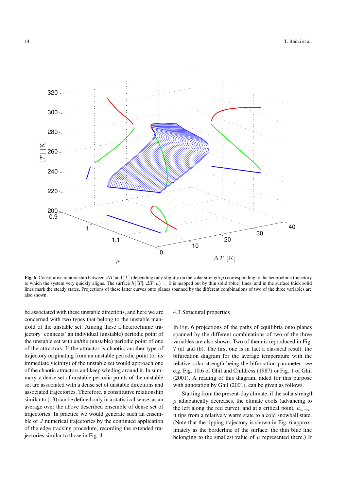

Fig. 6 Constitutive relationship between  $\Delta T$  and [T] (depending only slightly on the solar strength  $\mu$ ) corresponding to the heteroclinic trajectory to which the system very quickly aligns. The surface  $h([T], \Delta T, \mu) = 0$  is mapped out by thin solid (blue) lines; and in the surface thick solid lines mark the steady states. Projections of these latter curves onto planes spanned by the different combinations of two of the three variables are also shown.

be associated with these unstable directions, and here we are concerned with two types that belong to the unstable manifold of the unstable set. Among these a heteroclininc trajectory 'connects' an individual (unstable) periodic point of the unstable set with an/the (unstable) periodic point of one of the attractors. If the attractor is chaotic, another type of trajectory originating from an unstable periodic point (or its immediate vicinity) of the unstable set would approach one of the chaotic attractors and keep winding around it. In summary, a dense set of unstable periodic points of the unstable set are associated with a dense set of unstable directions and associated trajectories. Therefore, a constitutive relationship similar to (13) can be defined only in a statistical sense, as an average over the above described ensemble of dense set of trajectories. In practice we would generate such an ensemble of J numerical trajectories by the continued application of the edge tracking procedure, recording the extended trajectories similar to those in Fig. 4.

#### 4.3 Structural properties

In Fig. 6 projections of the paths of equilibria onto planes spanned by the different combinations of two of the three variables are also shown. Two of them is reproduced in Fig. 7 (a) and (b). The first one is in fact a classical result: the bifurcation diagram for the average temperature with the relative solar strength being the bifurcation parameter; see e.g. Fig. 10.6 of Ghil and Childress (1987) or Fig. 1 of Ghil (2001). A reading of this diagram, aided for this purpose with annotation by Ghil (2001), can be given as follows.

Starting from the present-day climate, if the solar strength  $\mu$  adiabatically decreases, the climate cools (advancing to the left along the red curve), and at a critical point,  $\mu_{w\to c}$ , it tips from a relatively warm state to a cold snowball state. (Note that the tipping trajectory is shown in Fig. 6 approximately as the borderline of the surface: the thin blue line belonging to the smallest value of  $\mu$  represented there.) If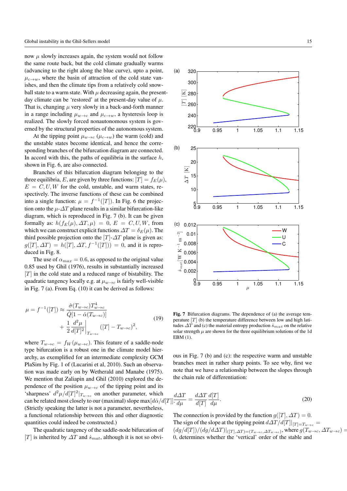now  $\mu$  slowly increases again, the system would not follow the same route back, but the cold climate gradually warms (advancing to the right along the blue curve), upto a point,  $\mu_{c \to w}$ , where the basin of attraction of the cold state vanishes, and then the climate tips from a relatively cold snowball state to a warm state. With  $\mu$  decreasing again, the presentday climate can be 'restored' at the present-day value of  $\mu$ . That is, changing  $\mu$  very slowly in a back-and-forth manner in a range including  $\mu_{w\to c}$  and  $\mu_{c\to w}$ , a hysteresis loop is realized. The slowly forced nonautonomous system is governed by the structural properties of the autonomous system.

At the tipping point  $\mu_{w\to c}$  ( $\mu_{c\to w}$ ) the warm (cold) and the unstable states become identical, and hence the corresponding branches of the bifurcation diagram are connected. In accord with this, the paths of equilibria in the surface  $h$ , shown in Fig. 6, are also connected.

Branches of this bifurcation diagram belonging to the three equilibria, E, are given by three functions:  $[T] = f_E(\mu)$ ,  $E = C, U, W$  for the cold, unstable, and warm states, respectively. The inverse functions of these can be combined into a single function:  $\mu = f^{-1}([T])$ . In Fig. 6 the projection onto the  $\mu$ - $\Delta T$  plane results in a similar bifurcation-like diagram, which is reproduced in Fig. 7 (b). It can be given formally as:  $h(f_E(\mu), \Delta T, \mu) = 0$ ,  $E = C, U, W$ , from which we can construct explicit functions  $\Delta T = \delta_E(\mu)$ . The third possible projection onto the [T]- $\Delta T$  plane is given as:  $g([T], \Delta T) = h([T], \Delta T, f^{-1}([T])) = 0$ , and it is reproduced in Fig. 8.

The use of  $\alpha_{max} = 0.6$ , as opposed to the original value 0.85 used by Ghil (1976), results in substantially increased  $[T]$  in the cold state and a reduced range of bistability. The quadratic tangency locally e.g. at  $\mu_{w\to c}$  is fairly well-visible in Fig. 7 (a). From Eq. (10) it can be derived as follows:

$$
\mu = f^{-1}([T]) \approx \frac{\hat{\sigma}(T_{w \to c})T_{w \to c}^4}{\hat{Q}[1 - \hat{\alpha}(T_{w \to c})]}
$$
  
+ 
$$
\frac{1}{2} \frac{d^2 \mu}{d[T]^2} \Big|_{T_{w \to c}} ([T] - T_{w \to c})^2,
$$
 (19)

where  $T_{w\to c} = f_W(\mu_{w\to c})$ . This feature of a saddle-node type bifurcation is a robust one in the climate model hierarchy, as exemplified for an intermediate complexity GCM PlaSim by Fig. 1 of (Lucarini et al, 2010). Such an observation was made early on by Wetherald and Manabe (1975). We mention that Zaliapin and Ghil (2010) explored the dependence of the position  $\mu_{w\to c}$  of the tipping point and its 'sharpness'  $d^2\mu/d[T]^2|_{T_{w\to c}}$  on another parameter, which can be related most closely to our (maximal) slope max $\left|\frac{d\hat{\alpha}}{T}\right|$ (Strictly speaking the latter is not a parameter, nevertheless, a functional relationship between this and other diagnostic quantities could indeed be constructed.)

The quadratic tangency of the saddle-node bifurcation of [T] is inherited by  $\Delta T$  and  $\dot{s}_{mat}$ , although it is not so obvi-



Fig. 7 Bifurcation diagrams. The dependence of (a) the average temperature  $[T]$  (b) the temperature difference between low and high latitudes  $\Delta T$  and (c) the material entropy production  $\dot{s}_{mat}$  on the relative solar strength  $\mu$  are shown for the three equilibrium solutions of the 1d EBM (1).

ous in Fig. 7 (b) and (c): the respective warm and unstable branches meet in rather sharp points. To see why, first we note that we have a relationship between the slopes through the chain rule of differentiation:

$$
\frac{d\Delta T}{d[T]] \cdot \frac{d\Delta T}{d\mu} = \frac{d\Delta T}{d[T]} \frac{d[T]}{d\mu}.
$$
\n(20)

The connection is provided by the function  $q([T], \Delta T) = 0$ . The sign of the slope at the tipping point  $d\Delta T/d[T]|_{[T]=T_{w\to c}} =$  $(dg/d[T])/ (dg/d\Delta T)|_{([T],\Delta T)=(T_{w\to c},\Delta T_{w\to c})}$ , where  $g(T_{w\to c},\Delta T_{w\to c})$  = 0, determines whether the 'vertical' order of the stable and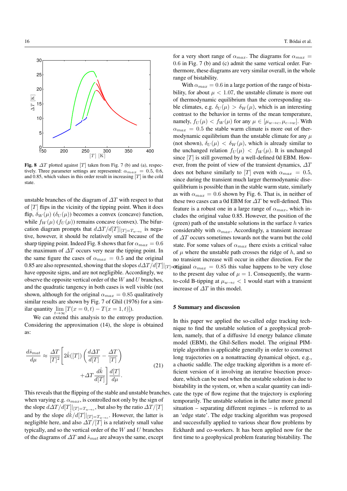

Fig. 8  $\Delta T$  plotted against [T] taken from Fig. 7 (b) and (a), respectively. Three parameter settings are represented:  $\alpha_{max} = 0.5, 0.6,$ and 0.85, which values in this order result in increasing  $[T]$  in the cold state.

unstable branches of the diagram of ∆T with respect to that of  $[T]$  flips in the vicinity of the tipping point. When it does flip,  $\delta_W(\mu)$  ( $\delta_U(\mu)$ ) becomes a convex (concave) function, while  $f_W(\mu)$  ( $f_U(\mu)$ ) remains concave (convex). The bifurcation diagram prompts that  $d\Delta T/d[T]|_{[T]=T_{w\rightarrow c}}$  is negative, however, it should be relatively small because of the sharp tipping point. Indeed Fig. 8 shows that for  $\alpha_{max} = 0.6$ the maximum of  $\Delta T$  occurs very near the tipping point. In the same figure the cases of  $\alpha_{max} = 0.5$  and the original 0.85 are also represented, showing that the slopes  $d\Delta T/d[T]|_{[T]=\mathfrak{R}]}$  iginal  $\alpha_{max}=0.85$  this value happens to be very close have opposite signs, and are not negligible. Accordingly, we observe the opposite vertical order of the  $W$  and  $U$  branches, and the quadratic tangency in both cases is well visible (not shown, although for the original  $\alpha_{max} = 0.85$  qualitatively similar results are shown by Fig. 7 of Ghil (1976) for a similar quantity  $\lim_{t\to\infty} [T(x=0,t)-T(x=1,t)]$ ).

We can extend this analysis to the entropy production. Considering the approximation (14), the slope is obtained as:

$$
\frac{d\dot{s}_{mat}}{d\mu} \approx \frac{\Delta T}{[T]^2} \left[ 2\hat{k}([T]) \left( \frac{d\Delta T}{d[T]} - \frac{\Delta T}{[T]} \right) + \Delta T \frac{d\hat{k}}{d[T]} \right] \frac{d[T]}{d\mu}.
$$
\n(21)

This reveals that the flipping of the stable and unstable branches, when varying e.g.  $\alpha_{max}$ , is controlled not only by the sign of the slope  $d\varDelta T/d[T]|_{[T]=T_{w\to c}},$  but also by the ratio  $\varDelta T/[T]$ and by the slope  $\hat{dk}/d[T]|_{[T]=T_{w\to c}}$ . However, the latter is negligible here, and also  $\Delta T/[T]$  is a relatively small value typically, and so the vertical order of the  $W$  and  $U$  branches of the diagrams of  $\Delta T$  and  $\dot{s}_{mat}$  are always the same, except

for a very short range of  $\alpha_{max}$ . The diagrams for  $\alpha_{max}$  = 0.6 in Fig. 7 (b) and (c) admit the same vertical order. Furthermore, these diagrams are very similar overall, in the whole range of bistability.

With  $\alpha_{max} = 0.6$  in a large portion of the range of bistability, for about  $\mu < 1.07$ , the unstable climate is more out of thermodynamic equilibrium than the corresponding stable climates, e.g.  $\delta_U(\mu) > \delta_W(\mu)$ , which is an interesting contrast to the behavior in terms of the mean temperature, namely,  $f_U(\mu) < f_W(\mu)$  for any  $\mu \in [\mu_{w \to c}, \mu_{c \to w}]$ . With  $\alpha_{max} = 0.5$  the stable warm climate is more out of thermodynamic equilibrium than the unstable climate for any  $\mu$ (not shown),  $\delta_U(\mu) < \delta_W(\mu)$ , which is already similar to the unchanged relation  $f_U(\mu) < f_W(\mu)$ . It is unchanged since  $[T]$  is still governed by a well-defined 0d EBM. However, from the point of view of the transient dynamics,  $\Delta T$ does not behave similarly to [T] even with  $\alpha_{max} = 0.5$ , since during the transient much larger thermodynamic disequilibrium is possible than in the stable warm state, similarly as with  $\alpha_{max} = 0.6$  shown by Fig. 6. That is, in neither of these two cases can a 0d EBM for  $\Delta T$  be well-defined. This feature is a robust one in a large range of  $\alpha_{max}$ , which includes the original value 0.85. However, the position of the (green) path of the unstable solutions in the surface  $h$  varies considerably with  $\alpha_{max}$ . Accordingly, a transient increase of ∆T occurs sometimes towards not the warm but the cold state. For some values of  $\alpha_{max}$  there exists a critical value of  $\mu$  where the unstable path crosses the ridge of  $h$ , and so no transient increase will occur in either direction. For the to the present day value of  $\mu = 1$ . Consequently, the warmto-cold B-tipping at  $\mu_{w\to c} < 1$  would start with a transient increase of  $\Delta T$  in this model.

#### 5 Summary and discussion

In this paper we applied the so-called edge tracking technique to find the unstable solution of a geophysical problem, namely, that of a diffusive 1d energy balance climate model (EBM), the Ghil-Sellers model. The original PIMtriple algorithm is applicable generally in order to construct long trajectories on a nonattracting dynamical object, e.g., a chaotic saddle. The edge tracking algorithm is a more efficient version of it involving an iterative bisection procedure, which can be used when the unstable solution is due to bistability in the system, or, when a scalar quantity can indicate the type of flow regime that the trajectory is exploring temporarily. The unstable solution in the latter more general situation – separating different regimes – is referred to as an 'edge state'. The edge tracking algorithm was proposed and successfully applied to various shear flow problems by Eckhardt and co-workers. It has been applied now for the first time to a geophysical problem featuring bistability. The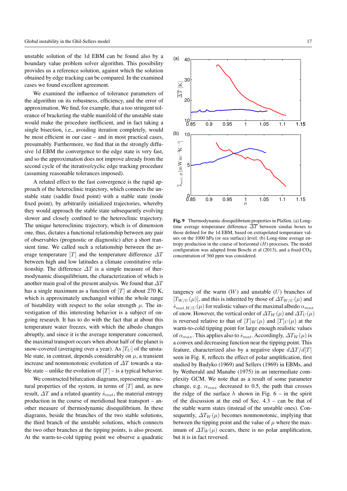unstable solution of the 1d EBM can be found also by a boundary value problem solver algorithm. This possibility provides us a reference solution, against which the solution obtained by edge tracking can be compared. In the examined cases we found excellent agreement.

We examined the influence of tolerance parameters of the algorithm on its robustness, efficiency, and the error of approximation. We find, for example, that a too stringent tolerance of bracketing the stable manifold of the unstable state would make the procedure inefficient, and in fact taking a single bisection, i.e., avoiding iteration completely, would be most efficient in our case – and in most practical cases, presumably. Furthermore, we find that in the strongly diffusive 1d EBM the convergence to the edge state is very fast, and so the approximation does not improve already from the second cycle of the iterative/cyclic edge tracking procedure (assuming reasonable tolerances imposed).

A related effect to the fast convergence is the rapid approach of the heteroclinic trajectory, which connects the unstable state (saddle fixed point) with a stable state (node fixed point), by arbitrarily initialized trajectories, whereby they would approach the stable state subsequently evolving slower and closely confined to the heteroclinic trajectory. The unique heteroclininc trajectory, which is of dimension one, thus, dictates a functional relationship between any pair of observables (prognostic or diagnostic) after a short transient time. We called such a relationship between the average temperature [T] and the temperature difference  $\Delta T$ between high and low latitudes a climate constitutive relationship. The difference  $\Delta T$  is a simple measure of thermodynamic disequilibrium, the characterization of which is another main goal of the present analysis. We found that  $\Delta T$ has a single maximum as a function of  $[T]$  at about 270 K, which is approximately unchanged within the whole range of bistability with respect to the solar strength  $\mu$ . The investigation of this interesting behavior is a subject of ongoing research. It has to do with the fact that at about this temperature water freezes, with which the albedo changes abruptly, and since it is the average temperature concerned, the maximal transport occurs when about half of the planet is snow-covered (averaging over a year). As  $[T_U]$  of the unstable state, in contrast, depends considerably on  $\mu$ , a transient increase and nonmonotonic evolution of  $\Delta T$  towards a stable state – unlike the evolution of  $[T]$  – is a typical behavior.

We constructed bifurcation diagrams, representing structural properties of the system, in terms of  $[T]$  and, as new result,  $\Delta T$  and a related quantity  $\dot{s}_{mat}$ , the material entropy production in the course of meridional heat transport – another measure of thermodynamic disequilibrium. In these diagrams, beside the branches of the two stable solutions, the third branch of the unstable solutions, which connects the two other branches at the tipping points, is also present. At the warm-to-cold tipping point we observe a quadratic



Fig. 9 Thermodynamic disequilibrium properties in PlaSim. (a) Longtime average temperature difference  $\overline{\Delta T}$  between similar boxes to those defined for the 1d EBM, based on extrapolated temperature values on the 1000 hPa (or sea surface) level. (b) Long-time average entropy production in the course of horizontal  $(H)$  processes. The model configuration was adapted from Boschi et al (2013), and a fixed CO<sub>2</sub> concentration of 360 ppm was considered.

tangency of the warm  $(W)$  and unstable  $(U)$  branches of  $[T_{W/U}(\mu)]$ , and this is inherited by those of  $\Delta T_{W/U}(\mu)$  and  $\dot{s}_{mat,W/U}(\mu)$  for realistic values of the maximal albedo  $\alpha_{max}$ of snow. However, the vertical order of  $\Delta T_W(\mu)$  and  $\Delta T_U(\mu)$ is reversed relative to that of  $[T]_W(\mu)$  and  $[T]_U(\mu)$  at the warm-to-cold tipping point for large enough realistic values of  $\alpha_{max}$ . This applies also to  $\dot{s}_{mat}$ . Accordingly,  $\Delta T_W(\mu)$  is a convex and decreasing function near the tipping point. This feature, characterized also by a negative slope  $d\Delta T/d[T]$ seen in Fig. 8, reflects the effect of polar amplification, first studied by Budyko (1969) and Sellers (1969) in EBMs, and by Wetherald and Manabe (1975) in an intermediate complexity GCM. We note that as a result of some parameter change, e.g.  $\alpha_{max}$  decreased to 0.5, the path that crosses the ridge of the surface h shown in Fig.  $6 - in$  the spirit of the discussion at the end of Sec. 4.3 – can be that of the stable warm states (instead of the unstable ones). Consequently,  $\Delta T_W(\mu)$  becomes nonmonotonic, implying that between the tipping point and the value of  $\mu$  where the maximum of  $\Delta T_W(\mu)$  occurs, there is no polar amplification, but it is in fact reversed.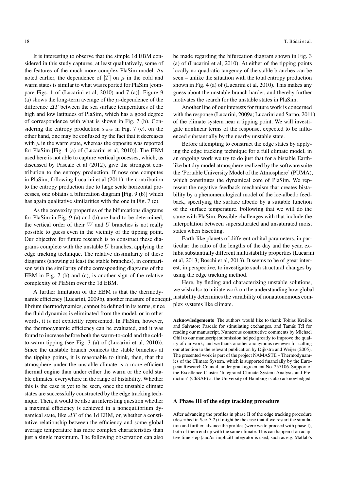It is interesting to observe that the simple 1d EBM considered in this study captures, at least qualitatively, some of the features of the much more complex PlaSim model. As noted earlier, the dependence of  $[T]$  on  $\mu$  in the cold and warm states is similar to what was reported for PlaSim [compare Figs. 1 of (Lucarini et al, 2010) and 7 (a)]. Figure 9 (a) shows the long-term average of the  $\mu$ -dependence of the difference  $\overline{\Delta T}$  between the sea surface temperatures of the high and low latitudes of PlaSim, which has a good degree of correspondence with what is shown in Fig. 7 (b). Considering the entropy production  $\dot{s}_{mat}$  in Fig. 7 (c), on the other hand, one may be confused by the fact that it decreases with  $\mu$  in the warm state, whereas the opposite was reported for PlaSim [Fig. 4 (a) of (Lucarini et al, 2010)]. The EBM used here is not able to capture vertical processes, which, as discussed by Pascale et al (2012), give the strongest contribution to the entropy production. If now one computes in PlaSim, following Lucarini et al (2011), the contribution to the entropy production due to large scale horizontal processes, one obtains a bifurcation diagram [Fig. 9 (b)] which has again qualitative similarities with the one in Fig. 7 (c).

As the convexity properties of the bifurcations diagrams for PlaSim in Fig. 9 (a) and (b) are hard to be determined, the vertical order of their  $W$  and  $U$  branches is not really possible to guess even in the vicinity of the tipping point. Our objective for future research is to construct these diagrams complete with the unstable  $U$  branches, applying the edge tracking technique. The relative dissimilarity of these diagrams (showing at least the stable branches), in comparison with the similarity of the corresponding diagrams of the EBM in Fig. 7 (b) and (c), is another sign of the relative complexity of PlaSim over the 1d EBM.

A further limitation of the EBM is that the thermodynamic efficiency (Lucarini, 2009b), another measure of nonequi-instability determines the variability of nonautonomous comlibrium thermodynamics, cannot be defined in its terms, since the fluid dynamics is eliminated from the model, or in other words, it is not explicitly represented. In PlaSim, however, the thermodynamic efficiency can be evaluated, and it was found to increase before both the warm-to-cold and the coldto-warm tipping (see Fig. 3 (a) of (Lucarini et al, 2010)). Since the unstable branch connects the stable branches at the tipping points, it is reasonable to think, then, that the atmosphere under the unstable climate is a more efficient thermal engine than under either the warm or the cold stable climates, everywhere in the range of bistability. Whether this is the case is yet to be seen, once the unstable climate states are successfully constructed by the edge tracking technique. Then, it would be also an interesting question whether a maximal efficiency is achieved in a nonequilibrium dynamical state, like  $\Delta T$  of the 1d EBM, or, whether a constitutive relationship between the efficiency and some global average temperature has more complex characteristics than just a single maximum. The following observation can also

be made regarding the bifurcation diagram shown in Fig. 3 (a) of (Lucarini et al, 2010). At either of the tipping points locally no quadratic tangency of the stable branches can be seen – unlike the situation with the total entropy production shown in Fig. 4 (a) of (Lucarini et al, 2010). This makes any guess about the unstable branch harder, and thereby further motivates the search for the unstable states in PlaSim.

Another line of our interests for future work is concerned with the response (Lucarini, 2009a; Lucarini and Sarno, 2011) of the climate system near a tipping point. We will investigate nonlinear terms of the response, expected to be influenced substantially by the nearby unstable state.

Before attempting to construct the edge states by applying the edge tracking technique for a full climate model, in an ongoing work we try to do just that for a bistable Earthlike but dry model atmosphere realized by the software suite the 'Portable University Model of the Atmosphere' (PUMA), which constitutes the dynamical core of PlaSim. We represent the negative feedback mechanism that creates bistability by a phenomenological model of the ice-albedo feedback, specifying the surface albedo by a suitable function of the surface temperature. Following that we will do the same with PlaSim. Possible challenges with that include the interpolation between supersaturated and unsaturated moist states when bisecting.

Earth-like planets of different orbital parameters, in particular: the ratio of the lengths of the day and the year, exhibit substantially different multistability properties (Lucarini et al, 2013; Boschi et al, 2013). It seems to be of great interest, in perspective, to investigate such structural changes by using the edge tracking method.

Here, by finding and characterizing unstable solutions, we wish also to initiate work on the understanding how global plex systems like climate.

Acknowledgements The authors would like to thank Tobias Kreilos and Salvatore Pascale for stimulating exchanges, and Tamás Tél for reading our manuscript. Numerous constructive comments by Michael Ghil to our manuscript submission helped greatly to improve the quality of our work; and we thank another anonymous reviewer for calling our attention to the relevant publication by Dijkstra and Weijer (2005). The presented work is part of the project NAMASTE – Thermodynamics of the Climate System, which is supported financially by the European Research Council, under grant agreement No. 257106. Support of the Excellence Cluster 'Integrated Climate System Analysis and Prediction' (CliSAP) at the University of Hamburg is also acknowledged.

#### A Phase III of the edge tracking procedure

After advancing the profiles in phase II of the edge tracking procedure (described in Sec. 3.2) it might be the case that if we restart the simulation and further advance the profiles (were we to proceed with phase I), both of them end up with the same climate. This can happen if an adaptive time step (and/or implicit) integrator is used, such as e.g. Matlab's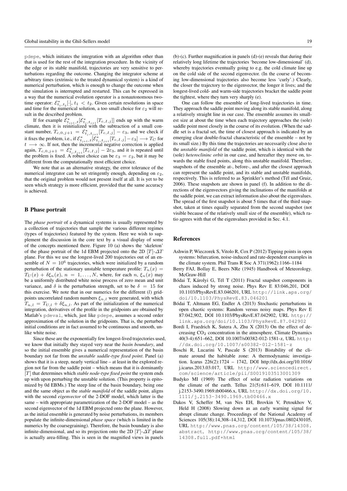pdepe, which initiates the integration with an algorithm other than that is used for the rest of the integration procedure. In the vicinity of the edge or its stable manifold, trajectories are very sensitive to perturbations regarding the outcome. Changing the integrator scheme at arbitrary times (extrinsic to the treated dynamical system) is a kind of numerical perturbation, which is enough to change the outcome when the simulation is interrupted and restarted. This can be expressed in a way that the numerical evolution operator is a nonautonomous twotime operator:  $\mathcal{E}_{t_1,t_2}^*[\cdot], t_1 < t_2$ . Given certain resolutions in space and time for the numerical solution, a too small choice for  $\varepsilon_2$  will result in the described problem.

If for example  $\mathcal{E}^*_{t_{j+1},t}[\mathcal{E}^*_{t_j,t_{j+1}}[T_{c,I,j}]]$  ends up with the warm climate, then it is reinitialized with the subtraction of a small constant number,  $T_{c,0,j+1} = \mathcal{E}_{t_j,t_{j+1}}^*[T_{c,I,j}] - \varepsilon_3$ , and we check if it fixes the problem, i.e., if  $\mathcal{E}^*_{t_{j+1},t}[\mathcal{E}^*_{t_j,t_{j+1}}[T_{c,I,j}]-\varepsilon_3]\longrightarrow T_C$  for  $t \longrightarrow \infty$ . If not, then the incremental negative correction is applied again,  $T_{c,0,j+1} = \mathcal{E}^*_{t_j,t_{j+1}}[T_{c,I,j}] - 2\varepsilon_3$ , and it is repeated until the problem is fixed. A robust choice can be  $\varepsilon_3 = \varepsilon_2$ , but it may be different from the computationally most efficient choice.

We note that as an alternative strategy, the error tolerance of the numerical integrator can be set stringently enough, depending on  $\varepsilon_2$ , that the original problem would not present itself at all. It is yet to be seen which strategy is more efficient, provided that the same accuracy is achieved.

#### B Phase portrait

The *phase portrait* of a dynamical systems is usually represented by a collection of trajectories that sample the various different regimes (types of trajectories) featured by the system. Here we wish to supplement the discussion in the core text by a visual display of some of the concepts mentioned there. Figure 10 (a) shows the 'skeleton' of the phase portrait of the 1d EBM projected onto the 2D [T]- $\Delta T$ plane. For this we use the longest-lived 200 trajectories out of an ensemble of  $N = 10^6$  trajectories, which were initialized by a random perturbation of the stationary unstable temperature profile:  $T_n(x) =$  $T_U(x) + \delta \xi_n(x)$ ,  $n = 1, \ldots, N$ , where, for each  $n, \xi_n(x)$  may be a uniformly distributed white noise process of zero mean and unit variance, and  $\delta$  is the perturbation strength, set to be  $\delta = 15$  for this exercise. We note that in our numerics for the different  $(l)$  gridpoints uncorrelated random numbers  $\xi_{n,l}$  were generated, with which  $T_{n,l} = T_{U,l} + \delta \xi_{n,l}$ . As part of the initialization of the numerical integration, derivatives of the profile in the gridpoints are obtained by Matlab's pdeval, which, just like pdepe, assumes a second order approximation of the solution in the gridpoints. That is, the perturbed initial conditions are in fact assumed to be continuous and smooth, unlike white noise.

Since these are the exponentially few longest-lived trajectories used, we know that initially they stayed very near the *basin boundary*, and so the initial ensemble gives a numerical representation of the basin boundary not far from the *unstable saddle-type fixed point*. Panel (a) shows that it is a steep, nearly vertical line – at least in the explored region not far from the saddle point – which means that it is dominantly [T] that determines which *stable node-type fixed point* the system ends up with upon perturbing the unstable solution. (This property is epitomized by 0d EBMs.) The steep line of the basin boundary, being one and the same object as the *stable manifold* of the saddle point, aligns with the second *eigenvector* of the 2-DOF model, which latter is the same – with appropriate parametrization of the 2-DOF model – as the second eigenvector of the 1d EBM projected onto the plane. However, as the initial ensemble is generated by noise perturbations, its members populate the infinite-dimensional *phase space* (which is limited in the numerics by the coarsegraining). Therefore, the basin boundary is also infinite-dimensional, and so its projection onto the 2D [T]- $\Delta T$  plane is actually area-filling. This is seen in the magnified views in panels

(b)-(c). Further magnification in panels (d)-(e) reveals that during their relatively long lifetime the trajectories 'become low-dimensional' (d), whereby trajectories eventually going to e.g. the cold climate line up on the cold side of the second eigenvector. (In the course of becoming low-dimensional trajectories also become less 'curly'.) Clearly, the closer the trajectory to the eigenvector, the longer it lives; and the longest-lived cold- and warm-side trajectories bracket the saddle point the tightest, where they turn very sharply (e).

One can follow the ensemble of long-lived trajectories in time. They approach the saddle point moving along its stable manifold, along a relatively straight line in our case. The ensemble assumes its smallest size at about the time when each trajectory approaches the (sole) saddle point most closely in the course of its evolution. (When the saddle set is a fractal set, the time of closest approach is indicated by an emerging clear double-fractal characteristic of the ensemble – not by its small size.) By this time the trajectories are necessarily close also to the *unstable manifold* of the saddle point, which is identical with the (sole) *heteroclininc orbit* in our case, and hereafter they move on, towards the stable fixed points, along this unstable manifold. Therefore, snapshots of the ensemble at-, before-, and after the closest approach can represent the saddle point, and its stable and unstable manifolds, respectively. This is referred to as Sprinkler's method (Tél and Gruiz, 2006). These snapshots are shown in panel (f). In addition to the directions of the eigenvectors giving the inclinations of the manifolds at the saddle point, we can extract information also about the eigenvalues. The spread of the first snapshot is about 5 times that of the third snapshot, taken at times equally separated from the second snapshot (not visible because of the relatively small size of the ensemble), which ratio agrees with that of the eigenvalues provided in Sec. 4.1.

#### References

- Ashwin P, Wieczorek S, Vitolo R, Cox P (2012) Tipping points in open systems: bifurcation, noise-induced and rate-dependent examples in the climate system. Phil Trans R Soc A 371(1962):1166–1184
- Berry FAJ, Bollay E, Beers NRe (1945) Handbook of Meteorology. McGraw-Hill
- Bódai T, Károlyi G, Tél T (2011) Fractal snapshot components in chaos induced by strong noise. Phys Rev E 83:046,201, DOI 10.1103/PhysRevE.83.046201, URL http://link.aps.org/ doi/10.1103/PhysRevE.83.046201
- Bódai T, Altmann EG, Endler A (2013) Stochastic perturbations in open chaotic systems: Random versus noisy maps. Phys Rev E 87:042,902, DOI 10.1103/PhysRevE.87.042902, URL http:// link.aps.org/doi/10.1103/PhysRevE.87.042902
- Bordi I, Fraedrich K, Sutera A, Zhu X (2013) On the effect of decreasing  $CO<sub>2</sub>$  concentration in the atmosphere. Climate Dynamics 40(3-4):651–662, DOI 10.1007/s00382-012-1581-z, URL http: //dx.doi.org/10.1007/s00382-012-1581-z
- Boschi R, Lucarini V, Pascale S (2013) Bistability of the climate around the habitable zone: A thermodynamic investigation. Icarus 226(2):1724 – 1742, DOI http://dx.doi.org/10.1016/ j.icarus.2013.03.017, URL http://www.sciencedirect. com/science/article/pii/S0019103513001309
- Budyko MI (1969) The effect of solar radiation variations on the climate of the earth. Tellus 21(5):611–619, DOI 10.1111/ j.2153-3490.1969.tb00466.x, URL http://dx.doi.org/10. 1111/j.2153-3490.1969.tb00466.x
- Dakos V, Scheffer M, van Nes EH, Brovkin V, Petoukhov V, Held H (2008) Slowing down as an early warning signal for abrupt climate change. Proceedings of the National Academy of Sciences 105(38):14,308–14,312, DOI 10.1073/pnas.0802430105, URL http://www.pnas.org/content/105/38/14308. abstract, http://www.pnas.org/content/105/38/ 14308.full.pdf+html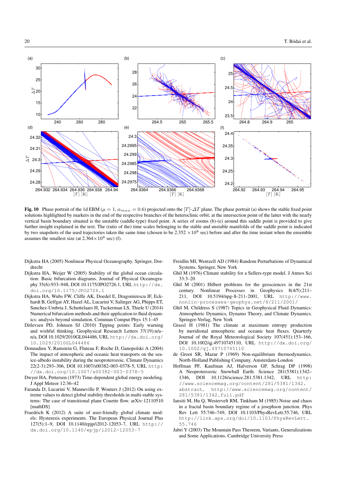

Fig. 10 Phase portrait of the 1d EBM ( $\mu = 1$ ,  $\alpha_{max} = 0.6$ ) projected onto the [T]- $\Delta T$  plane. The phase portrait (a) shows the stable fixed point solutions highlighted by markers in the end of the respective branches of the heteroclinic orbit; at the intersection point of the latter with the nearly vertical basin boundary situated is the unstable (saddle-type) fixed point. A series of zooms (b)-(e) around this saddle point is provided to give further insight explained in the text. The (ratio of the) time scales belonging to the stable and unstable manifolds of the saddle point is indicated by two snapshots of the used trajectories taken the same time (chosen to be  $2.352 \times 10^8$  sec) before and after the time instant when the ensemble assumes the smallest size (at  $2.364 \times 10^8$  sec) (f).

- Dijkstra HA (2005) Nonlinear Physical Oceanography. Springer, Dordrecht
- Dijkstra HA, Weijer W (2005) Stability of the global ocean circulation: Basic bifurcation diagrams. Journal of Physical Oceanography 35(6):933–948, DOI 10.1175/JPO2726.1, URL http://dx. doi.org/10.1175/JPO2726.1
- Dijkstra HA, Wubs FW, Cliffe AK, Doedel E, Dragomirescu IF, Eckhardt B, Gelfgat AY, Hazel AL, Lucarini V, Salinger AG, Phipps ET, Sanchez-Umbria J, Schuttelaars H, Tuckerman LS, Thiele U (2014) Numerical bifurcation methods and their application to fluid dynamics: analysis beyond simulation. Commun Comput Phys 15:1–45
- Ditlevsen PD, Johnsen SJ (2010) Tipping points: Early warning and wishful thinking. Geophysical Research Letters 37(19):n/a– n/a, DOI 10.1029/2010GL044486, URL http://dx.doi.org/ 10.1029/2010GL044486
- Donnadieu Y, Ramstein G, Fluteau F, Roche D, Ganopolski A (2004) The impact of atmospheric and oceanic heat transports on the seaice-albedo instability during the neoproterozoic. Climate Dynamics 22(2-3):293–306, DOI 10.1007/s00382-003-0378-5, URL http: //dx.doi.org/10.1007/s00382-003-0378-5
- Dwyer HA, Pettersen (1973) Time-dependent global energy modeling. J Appl Meteor 12:36–42
- Faranda D, Lucarini V, Manneville P, Wouters J (2012) On using extreme values to detect global stability thresholds in multi-stable systems: The case of transitional plane Couette flow. arXiv:12110510 [mathDS]
- Fraedrich K (2012) A suite of user-friendly global climate models: Hysteresis experiments. The European Physical Journal Plus 127(5):1–9, DOI 10.1140/epjp/i2012-12053-7, URL http:// dx.doi.org/10.1140/epjp/i2012-12053-7
- Freidlin MI, Wentzell AD (1984) Random Perturbations of Dynamical Systems. Springer, New York
- Ghil M (1976) Climate stability for a Sellers-type model. J Atmos Sci 33:3–20
- Ghil M (2001) Hilbert problems for the geosciences in the 21st century. Nonlinear Processes in Geophysics 8(4/5):211– 211, DOI 10.5194/npg-8-211-2001, URL http://www. nonlin-processes-geophys.net/8/211/2001/
- Ghil M, Childress S (1987) Topics in Geophysical Fluid Dynamics: Atmospheric Dynamics, Dynamo Theory, and Climate Dynamics. Springer-Verlag, New York
- Grassl H (1981) The climate at maximum entropy production by meridional atmospheric and oceanic heat fluxes. Quarterly Journal of the Royal Meteorological Society 107(451):153–166, DOI 10.1002/qj.49710745110, URL http://dx.doi.org/ 10.1002/qj.49710745110
- de Groot SR, Mazur P (1969) Non-equilibrium thermodynamics. North-Holland Publishing Company, Amsterdam-London
- Hoffman PF, Kaufman AJ, Halverson GP, Schrag DP (1998) A Neoproterozoic Snowball Earth. Science 281(5381):1342– 1346, DOI 10.1126/science.281.5381.1342, URL http: //www.sciencemag.org/content/281/5381/1342. abstract, http://www.sciencemag.org/content/ 281/5381/1342.full.pdf
- Iansiti M, Hu Q, Westervelt RM, Tinkham M (1985) Noise and chaos in a fractal basin boundary regime of a josephson junction. Phys Rev Lett 55:746–749, DOI 10.1103/PhysRevLett.55.746, URL http://link.aps.org/doi/10.1103/PhysRevLett. 55.746
- Jabri Y (2003) The Mountain Pass Theorem, Variants, Generalizations and Some Applications. Cambridge University Press